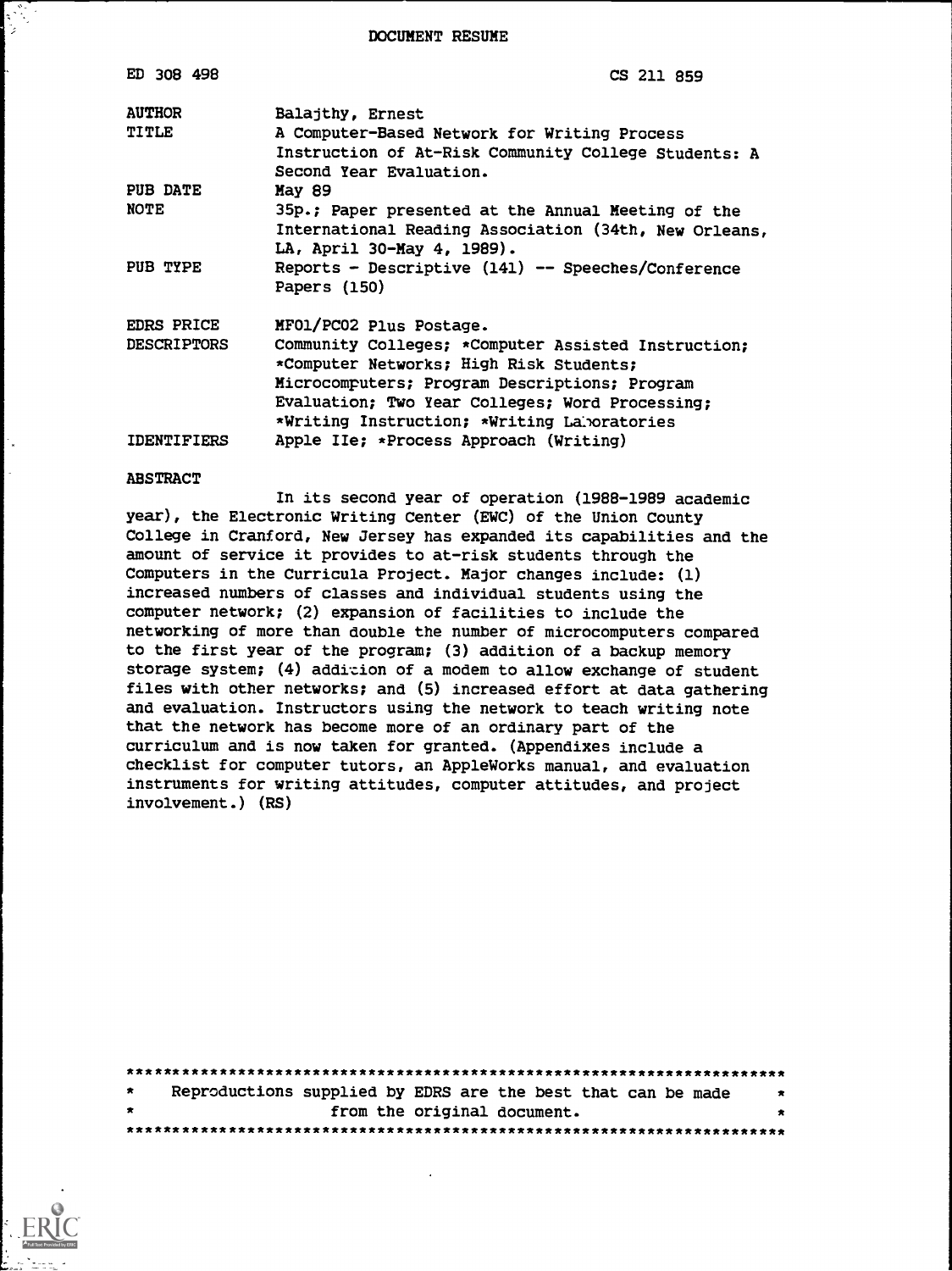DOCUMENT RESUME

| ED 308 498         | CS 211 859                                                                                       |
|--------------------|--------------------------------------------------------------------------------------------------|
| <b>AUTHOR</b>      | Balajthy, Ernest                                                                                 |
| <b>TITLE</b>       | A Computer-Based Network for Writing Process                                                     |
|                    | Instruction of At-Risk Community College Students: A<br>Second Year Evaluation.                  |
| PUB DATE           | May 89                                                                                           |
| <b>NOTE</b>        | 35p.; Paper presented at the Annual Meeting of the                                               |
|                    | International Reading Association (34th, New Orleans,                                            |
| PUB TYPE           | LA, April 30-May 4, 1989).<br>Reports - Descriptive (141) -- Speeches/Conference                 |
|                    | Papers (150)                                                                                     |
| <b>EDRS PRICE</b>  | MF01/PC02 Plus Postage.                                                                          |
| <b>DESCRIPTORS</b> | Community Colleges; *Computer Assisted Instruction;                                              |
|                    | *Computer Networks; High Risk Students;                                                          |
|                    | Microcomputers; Program Descriptions; Program<br>Evaluation; Two Year Colleges; Word Processing; |
|                    | *Writing Instruction; *Writing Laboratories                                                      |
| IDENTIFIERS        | Apple IIe; *Process Approach (Writing)                                                           |

#### ABSTRACT

In its second year of operation (1988-1989 academic year), the Electronic Writing Center (EWC) of the Union County College in Cranford, New Jersey has expanded its capabilities and the amount of service it provides to at-risk students through the Computers in the Curricula Project. Major changes include: (1) increased numbers of classes and individual students using the computer network; (2) expansion of facilities to include the networking of more than double the number of microcomputers compared to the first year of the program; (3) addition of a backup memory storage system; (4) addition of a modem to allow exchange of student files with other networks; and (5) increased effort at data gathering and evaluation. Instructors using the network to teach writing note that the network has become more of an ordinary part of the curriculum and is now taken for granted. (Appendixes include a checklist for computer tutors, an AppleWorks manual, and evaluation instruments for writing attitudes, computer attitudes, and project involvement.) (RS)

| $\star$ | Reproductions supplied by EDRS are the best that can be made | $\ddot{\mathbf{x}}$ |  |  |  |
|---------|--------------------------------------------------------------|---------------------|--|--|--|
| $\star$ | from the original document.                                  |                     |  |  |  |
|         |                                                              |                     |  |  |  |

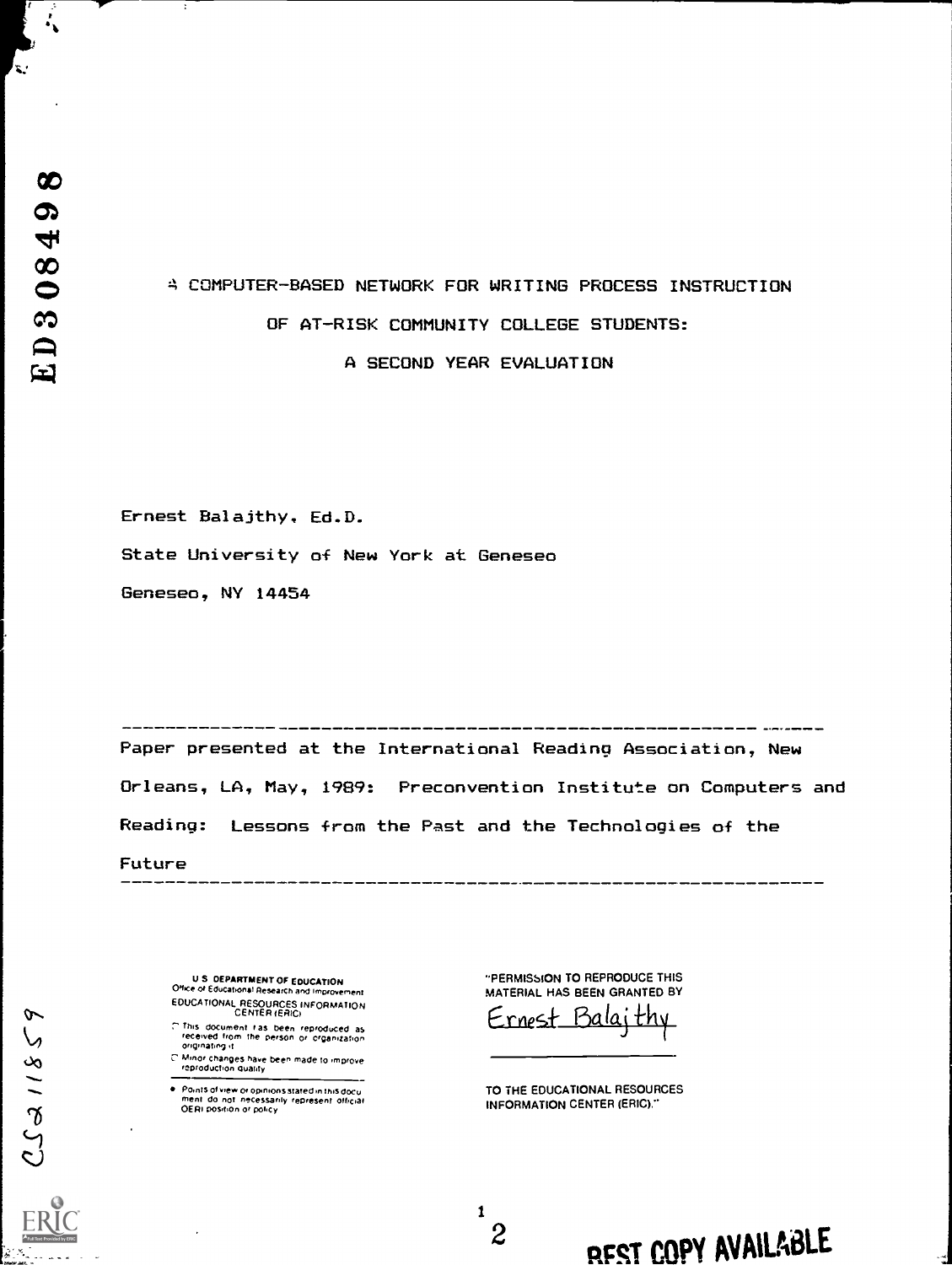X.

# COMPUTER-BASED NETWORK FOR WRITING PROCESS INSTRUCTION OF AT-RISK COMMUNITY COLLEGE STUDENTS: A SECOND YEAR EVALUATION

Ernest Balajthy, Ed.D.

State University of New York at Geneseo

Geneseo, NY 14454

Paper presented at the International Reading Association, New Orleans, LA, May, 1989: Preconvention Institute on Computers and Reading: Lessons from the Past and the Technologies of the

1

Future

U S DEPARTMENT OF EDUCATION Office of Educational Research and Improvement EDUCATIONAL RESOURCES INFORMATION<br>CENTER (ERIC)

 $7$  This document ras been reproduced as<br>- received from the person or organization<br>- originating it

C. Minor changes have been made to improve.<br>I reproduction quality

Points of view or opinions stated in this docu<br>ment : do: not: necessarily: represent: official<br>OERI position or policy

"PERMISSION TO REPRODUCE THIS MATERIAL HAS BEEN GRANTED BY

Ernest Ba

TO THE EDUCATIONAL RESOURCES INFORMATION CENTER (ERIC)."

2  $\sim$ 

RFST COPY AVAILADLE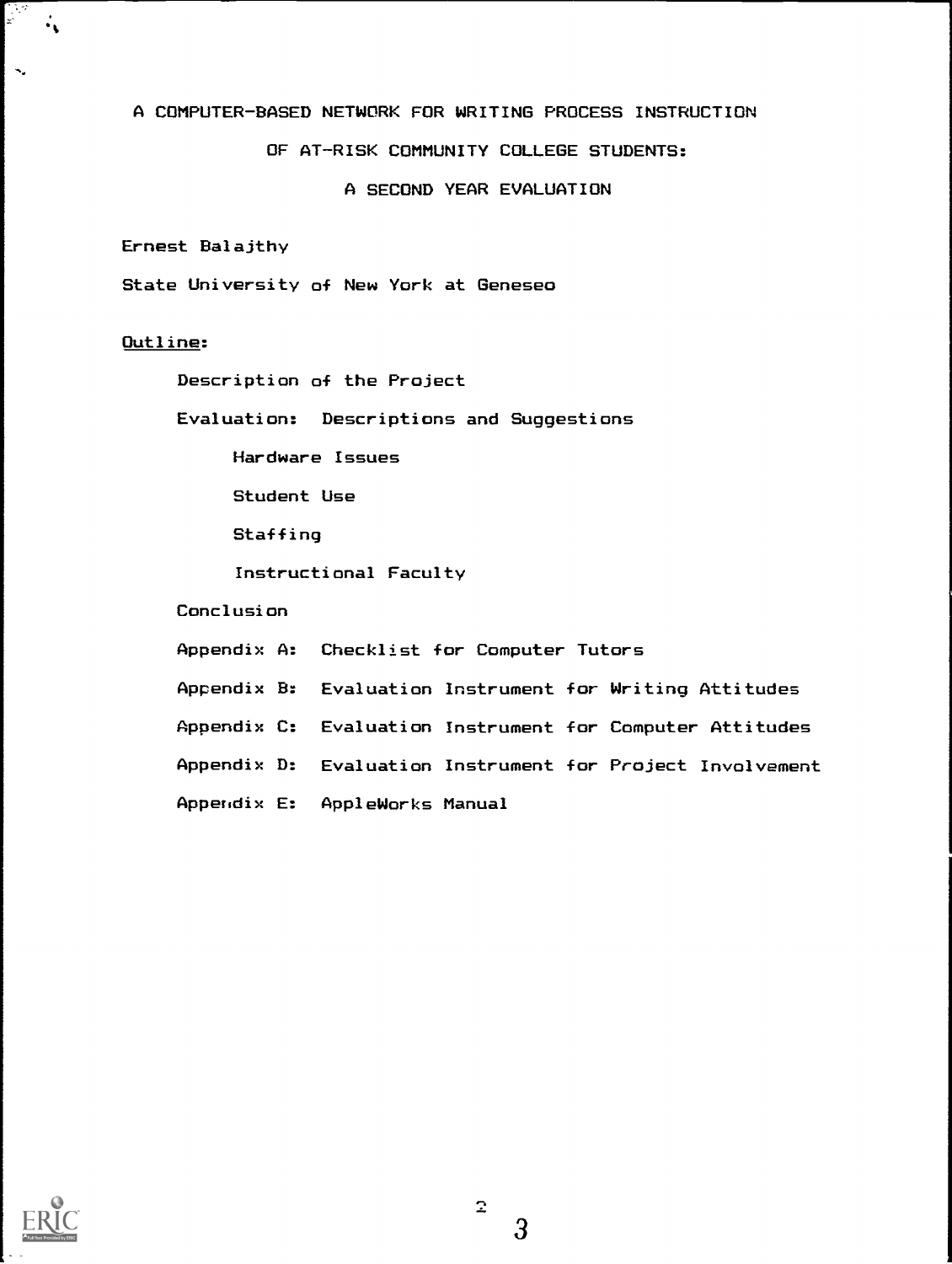# A COMPUTER-BASED NETWORK FOR WRITING PROCESS INSTRUCTION

# OF AT-RISK COMMUNITY COLLEGE STUDENTS:

A SECOND YEAR EVALUATION

Ernest Balajthy

State University of New York at Geneseo

# Outline:

 $\mathbf{x}^2$ 

 $\ddotsc$ 

 $\ddot{\cdot}$ 

Description of the Project

Evaluation: Descriptions and Suggestions

Hardware Issues

Student Use

**Staffing** 

Instructional Faculty

Conclusion

Appendix A: Checklist for Computer Tutors

Appendix B: Evaluation Instrument for Writing Attitudes

Appendix C: Evaluation Instrument for Computer Attitudes

Appendix D: Evaluation Instrument for Project Involvement

Appendix E: AppleWorks Manual

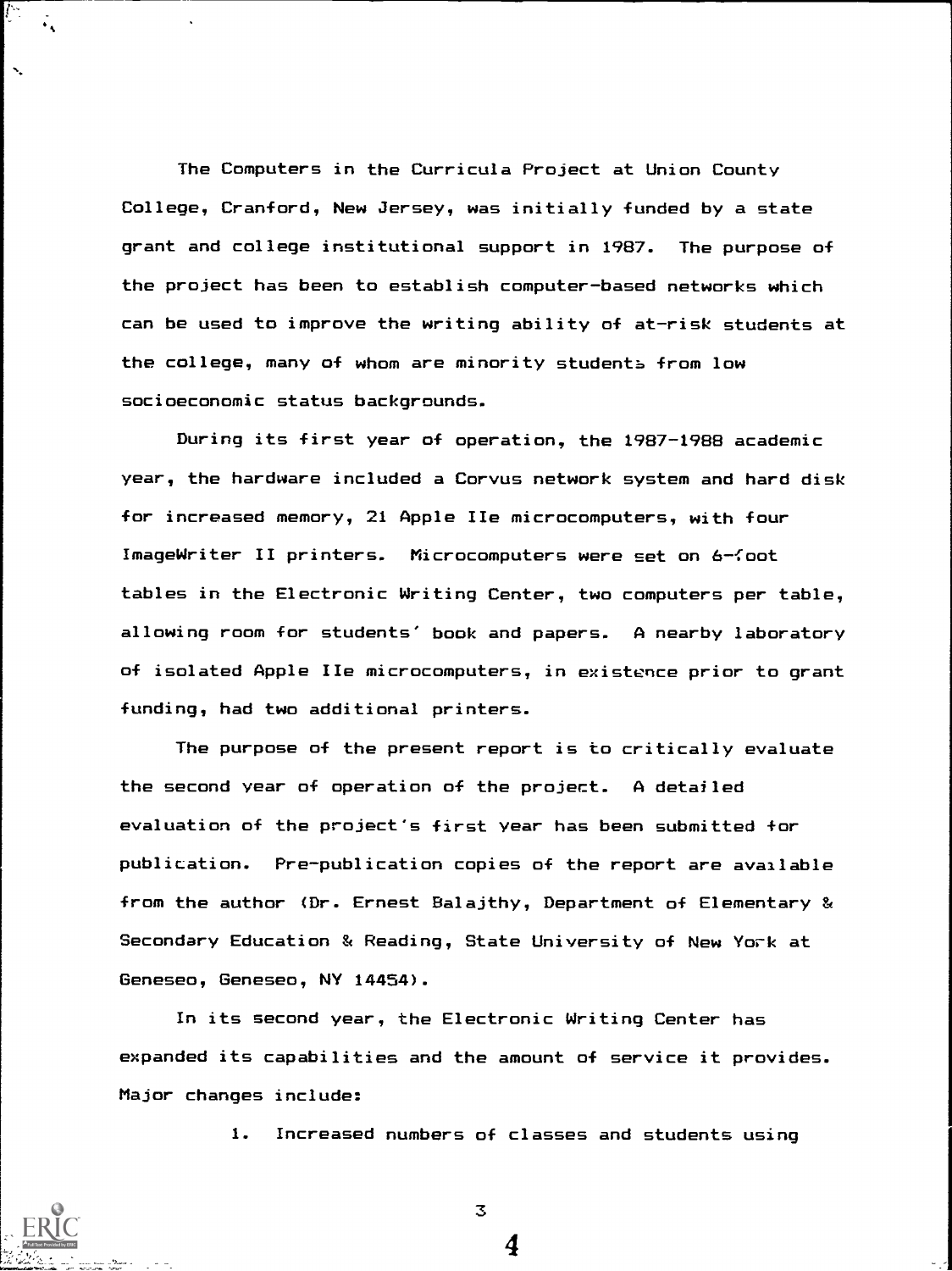The Computers in the Curricula Project at Union County College, Cranford, New Jersey, was initially funded by a state grant and college institutional support in 1987. The purpose of the project has been to establish computer-based networks which can be used to improve the writing ability of at-risk students at the college, many of whom are minority students from low socioeconomic status backgrounds.

During its first year of operation, the 1987-1988 academic year, the hardware included a Corvus network system and hard disk for increased memory, 21 Apple IIe microcomputers, with four ImageWriter II printers. Microcomputers were set on 6-foot tables in the Electronic Writing Center, two computers per table, allowing room for students' book and papers. A nearby laboratory of isolated Apple IIe microcomputers, in existence prior to grant funding, had two additional printers.

The purpose of the present report is to critically evaluate the second year of operation of the project. A detailed evaluation of the project's first year has been submitted for publication. Pre-publication copies of the report are available from the author (Dr. Ernest Balajthy, Department of Elementary & Secondary Education & Reading, State University of New York at Geneseo, Geneseo, NY 14454).

In its second year, the Electronic Writing Center has expanded its capabilities and the amount of service it provides. Major changes include:

1. Increased numbers of classes and students using

4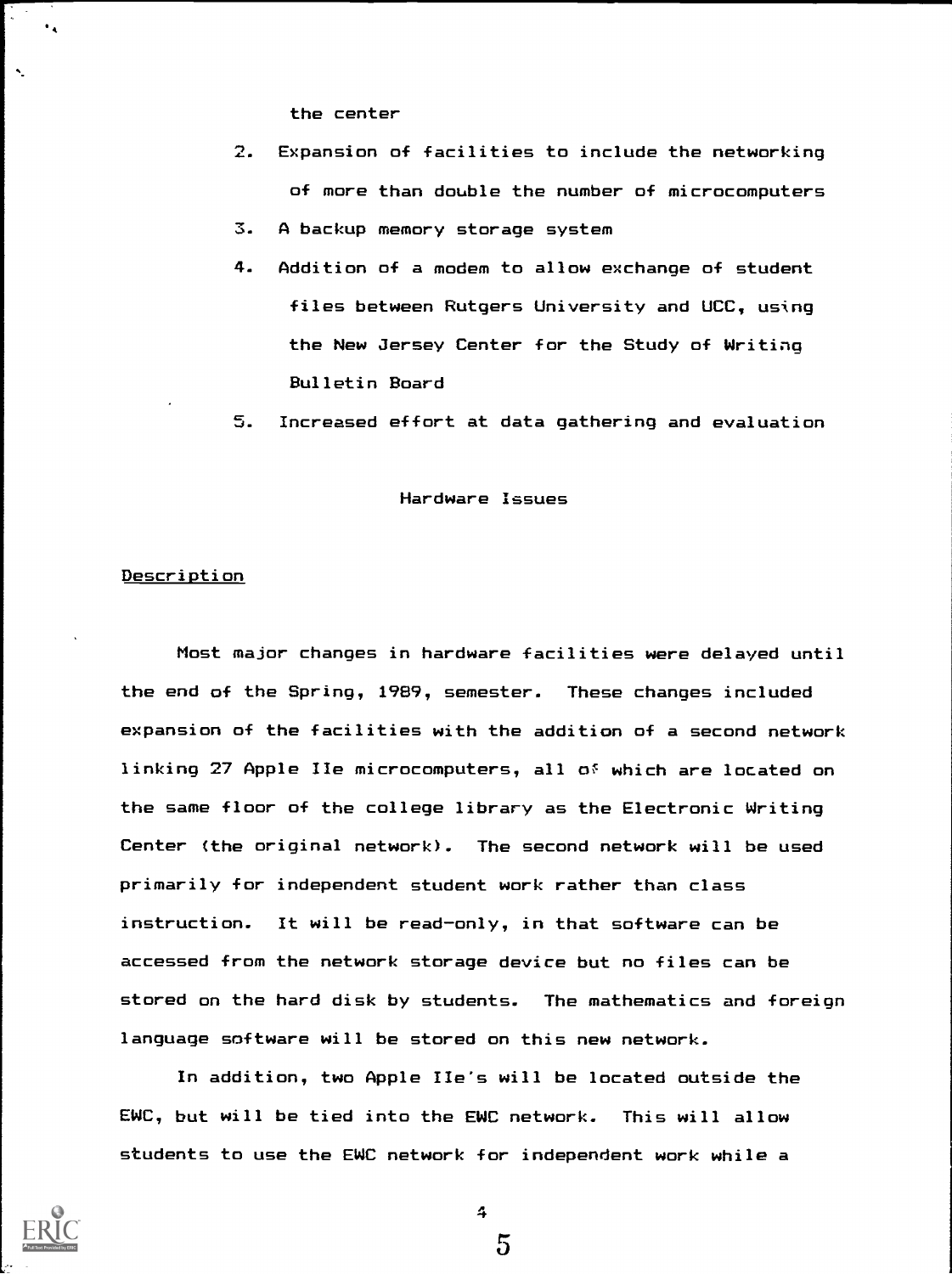the center

- 2. Expansion of facilities to include the networking of more than double the number of microcomputers 3. A backup memory storage system
- 4. Addition of a modem to allow exchange of student files between Rutgers University and UCC, using the New Jersey Center for the Study of Writing Bulletin Board
- 5. Increased effort at data gathering and evaluation

#### Hardware Issues

#### **Description**

 $\ddot{\phantom{1}}$ 

Most major changes in hardware facilities were delayed until the end of the Spring, 1989, semester. These changes included expansion of the facilities with the addition of a second network linking 27 Apple IIe microcomputers, all of which are located on the same floor of the college library as the Electronic Writing Center (the original network). The second network will be used primarily for independent student work rather than class instruction. It will be read-only, in that software can be accessed from the network storage device but no files can be stored on the hard disk by students. The mathematics and foreign language software will be stored on this new network.

In addition, two Apple lie's will be located outside the EWC, but will be tied into the EWC network. This will allow students to use the EWC network for independent work while a



4

 $\overline{5}$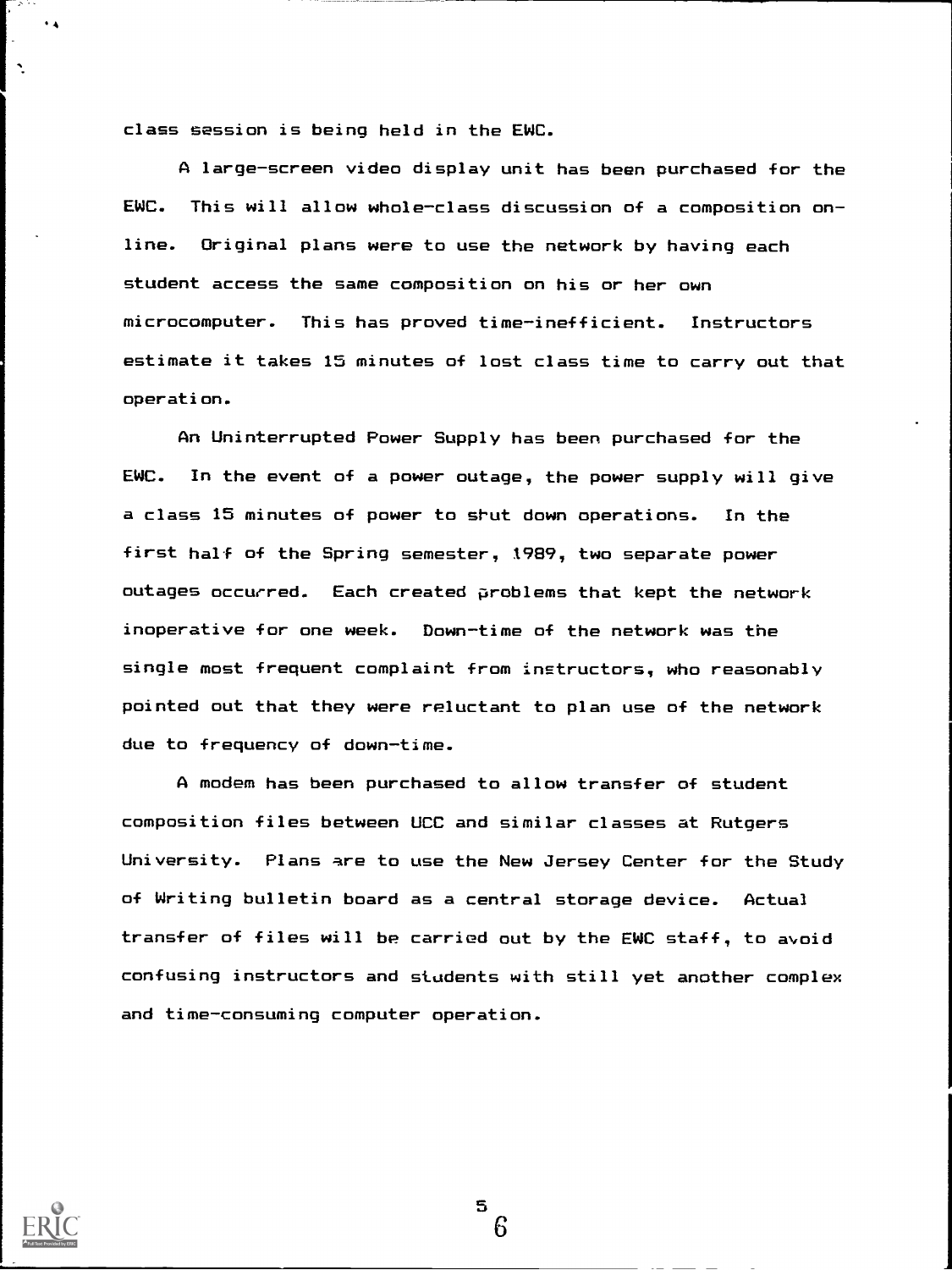class session is being held in the EWC.

A large-screen video display unit has been purchased for the EWC. This will allow whole-class discussion of a composition online. Original plans were to use the network by having each student access the same composition on his or her own microcomputer. This has proved time-inefficient. Instructors estimate it takes 15 minutes of lost class time to carry out that operation.

An Uninterrupted Power Supply has been purchased for the EWC. In the event of a power outage, the power supply will give a class 15 minutes of power to shut down operations. In the first half of the Spring semester, 1989, two separate power outages occurred. Each created problems that kept the network inoperative for one week. Down-time of the network was the single most frequent complaint from instructors, who reasonably pointed out that they were reluctant to plan use of the network due to frequency of down-time.

A modem has been purchased to allow transfer of student composition files between UCC and similar classes at Rutgers University. Plans are to use the New Jersey Center for the Study of Writing bulletin board as a central storage device. Actual transfer of files will be carried out by the EWC staff, to avoid confusing instructors and students with still yet another complex and time-consuming computer operation.

 $\blacksquare$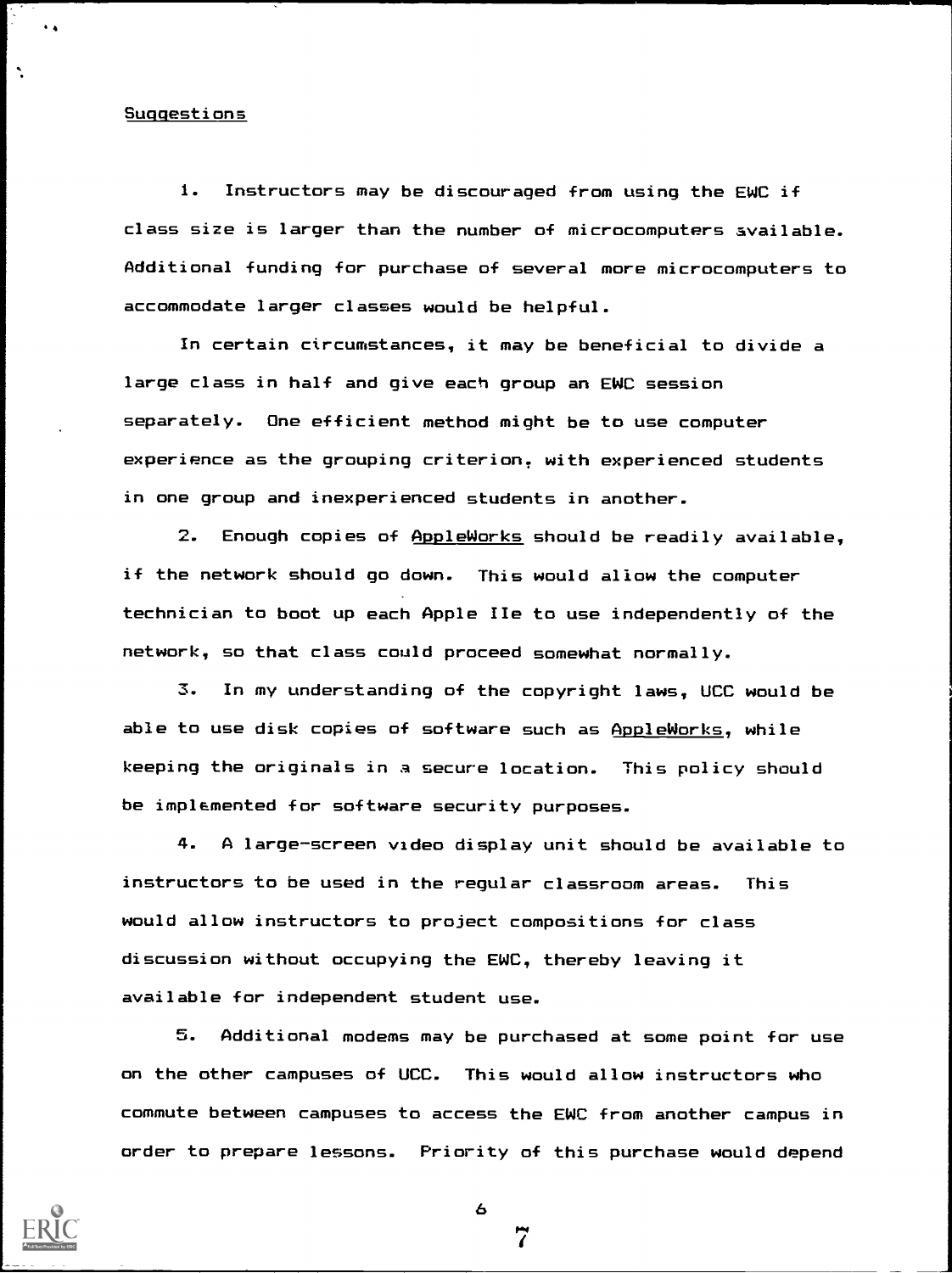#### Suggestions

 $\hat{\phantom{a}}$ 

1. Instructors may be discouraged from using the EWC if class size is larger than the number of microcomputers available. Additional funding for purchase of several more microcomputers to accommodate larger classes would be helpful.

In certain circumstances, it may be beneficial to divide a large class in half and give each group an EWC session separately. One efficient method might be to use computer experience as the grouping criterion, with experienced students in one group and inexperienced students in another.

2. Enough copies of AppleWorks should be readily available, if the network should go down. This would allow the computer technician to boot up each Apple IIe to use independently of the network, so that class could proceed somewhat normally.

3. In my understanding of the copyright laws, UCC would be able to use disk copies of software such as AppleWorks, while keeping the originals in a secure location. This policy should be implemented for software security purposes.

4. A large-screen video display unit should be available to instructors to be used in the regular classroom areas. This would allow instructors to project compositions for class discussion without occupying the EWC, thereby leaving it available for independent student use.

5. Additional modems may be purchased at some point for use on the other campuses of UCC. This would allow instructors who commute between campuses to access the EWC from another campus in order to prepare lessons. Priority of this purchase would depend

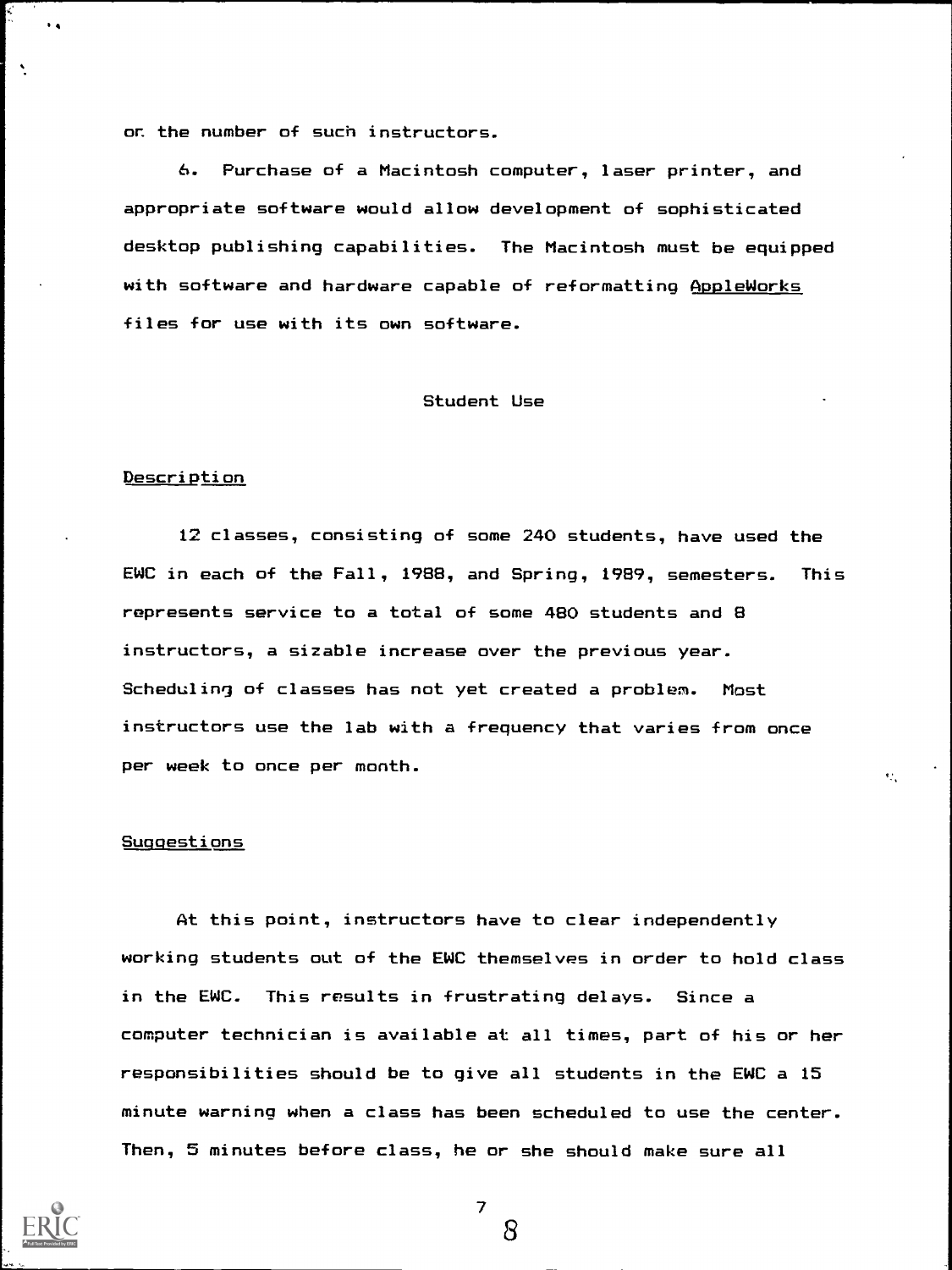or. the number of such instructors.

6. Purchase of a Macintosh computer, laser printer, and appropriate software would allow development of sophisticated desktop publishing capabilities. The Macintosh must be equipped with software and hardware capable of reformatting AppleWorks files for use with its own software.

#### Student Use

#### Description

 $\bullet$  4  $\bullet$  6  $\bullet$ 

12 classes, consisting of some 240 students, have used the EWC in each of the Fall, 1988, and Spring, 1989, semesters. This represents service to a total of some 480 students and 8 instructors, a sizable increase over the previous year. Scheduling of classes has not yet created a problem. Most instructors use the lab with a frequency that varies from once per week to once per month.

v.

#### Suggestions

At this point, instructors have to clear independently working students out of the EWC themselves in order to hold class in the EWC. This results in frustrating delays. Since a computer technician is available at all times, part of his or her responsibilities should be to give all students in the EWC a 15 minute warning when a class has been scheduled to use the center. Then, 5 minutes before class, he or she should make sure all



7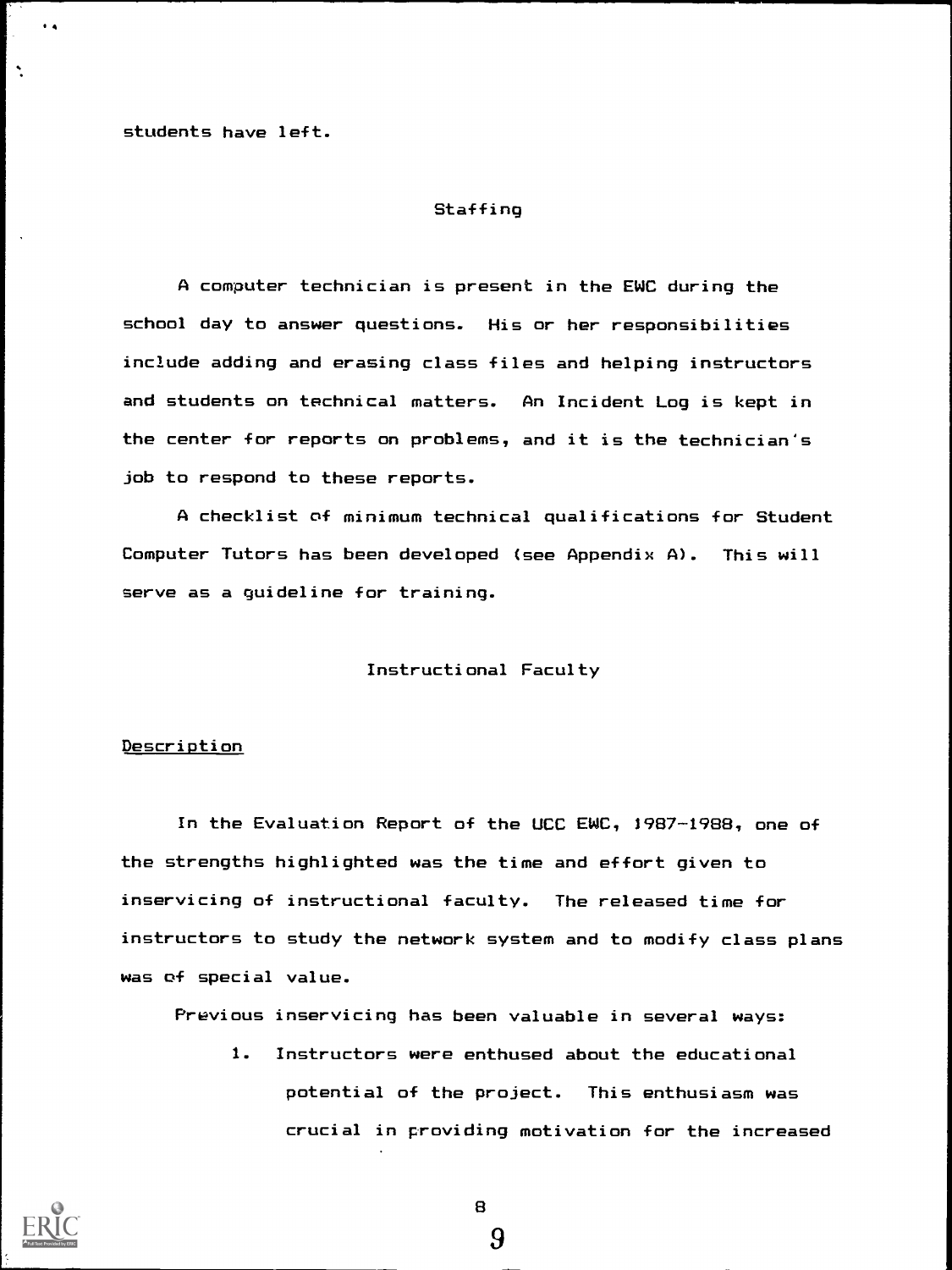students have left.

 $\ddot{\phantom{a}}$ 

 $\ddot{\phantom{a}}$ 

#### **Staffing**

A computer technician is present in the EWC during the school day to answer questions. His or her responsibilities include adding and erasing class files and helping instructors and students on technical matters. An Incident Log is kept in the center for reports on problems, and it is the technician's job to respond to these reports.

A checklist of minimum technical qualifications for Student Computer Tutors has been developed (see Appendix A). This will serve as a guideline for training.

#### Instructional Faculty

#### Description

In the Evaluation Report of the UCC EWC, 1987-1988, one of the strengths highlighted was the time and effort given to inservicing of instructional faculty. The released time for instructors to study the network system and to modify class plans was of special value.

Previous inservicing has been valuable in several ways:

1. Instructors were enthused about the educational potential of the project. This enthusiasm was crucial in providing motivation for the increased



8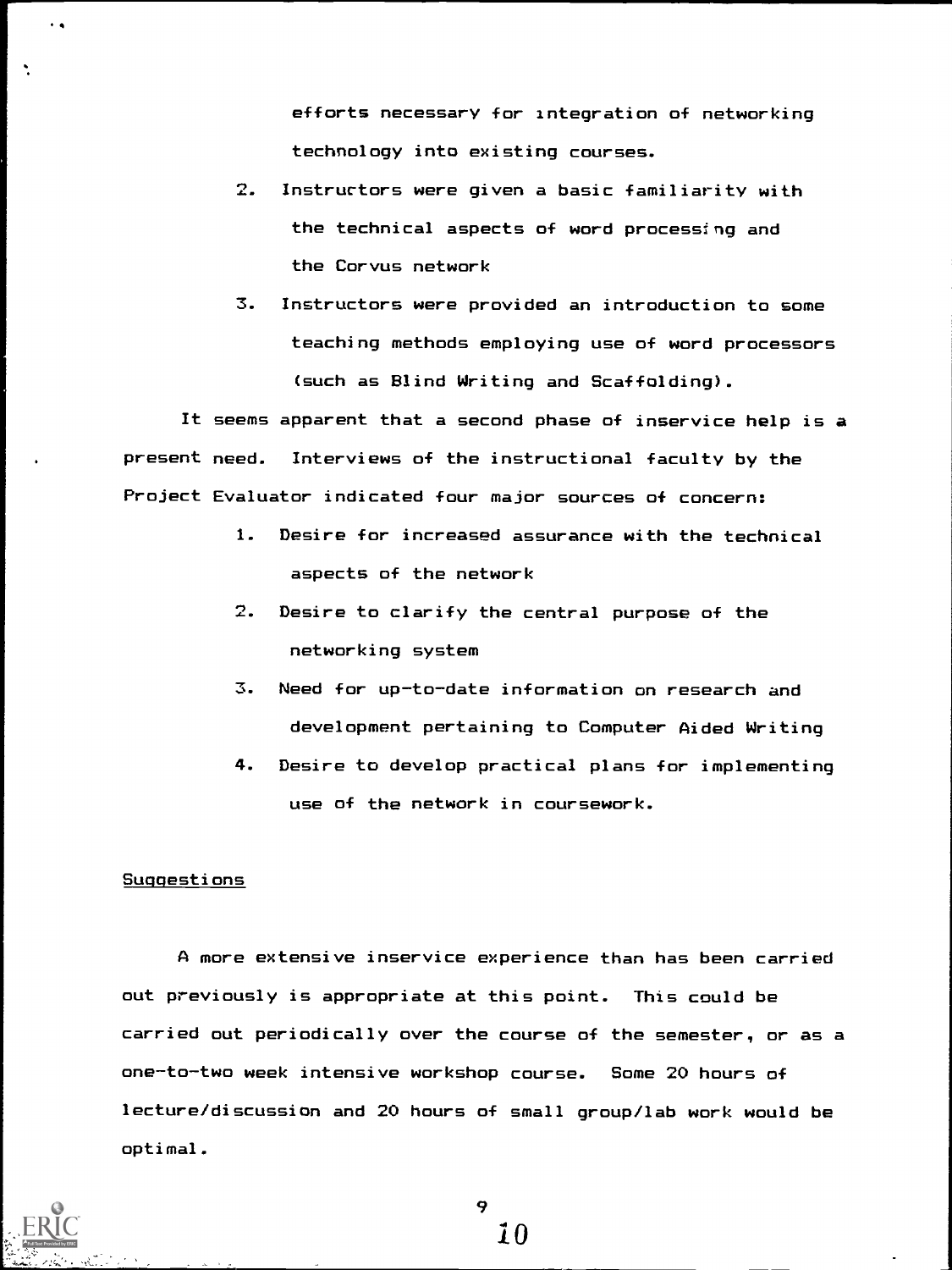efforts necessary for integration of networking technology into existing courses.

- 2. Instructors were given a basic familiarity with the technical aspects of word processing and the Corvus network
- 3. Instructors were provided an introduction to some teaching methods employing use of word processors (such as Blind Writing and Scaffolding).

It seems apparent that a second phase of inservice help is a present need. Interviews of the instructional faculty by the Project Evaluator indicated four major sources of concern:

- 1. Desire for increased assurance with the technical aspects of the network
- 2. Desire to clarify the central purpose of the networking system
- 3. Need for up-to-date information on research and development pertaining to Computer Aided Writing
- 4. Desire to develop practical plans for implementing use of the network in coursework.

# Suggestions

 $\ddot{\phantom{0}}$ 

A more extensive inservice experience than has been carried out previously is appropriate at this point. This could be carried out periodically over the course of the semester, or as a one-to-two week intensive workshop course. Some 20 hours of lecture/discussion and 20 hours of small group/lab work would be optimal.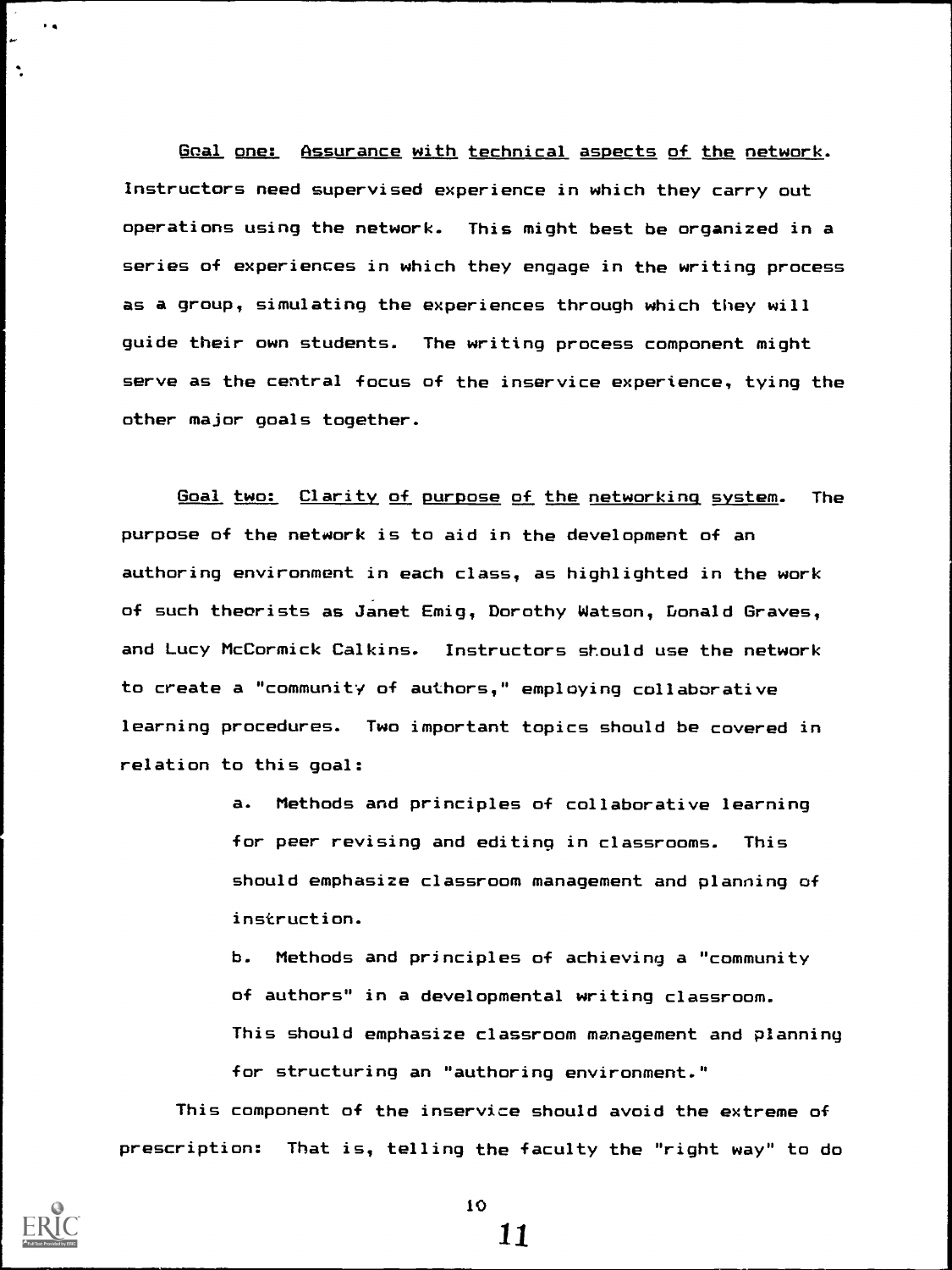Goal one: Assurance with technical aspects of the network. Instructors need supervised experience in which they carry out operations using the network. This might best be organized in a series of experiences in which they engage in the writing process as a group, simulating the experiences through which they will guide their own students. The writing process component might serve as the central focus of the inservice experience, tying the other major goals together.

Goal two: Clarity of purpose of the networking system. The purpose of the network is to aid in the development of an authoring environment in each class, as highlighted in the work of such theorists as Janet Emig, Dorothy Watson, Donald Graves, and Lucy McCormick Calkins. Instructors should use the network to create a "community of authors," employing collaborative learning procedures. Two important topics should be covered in relation to this goal:

> a. Methods and principles of collaborative learning for peer revising and editing in classrooms. This should emphasize classroom management and planning of instruction.

b. Methods and principles of achieving a "community of authors" in a developmental writing classroom. This should emphasize classroom management and planning for structuring an "authoring environment."

This component of the inservice should avoid the extreme of prescription: That is, telling the faculty the "right way" to do



 $\ddot{\phantom{1}}$ 

 $\ddot{\phantom{a}}$ 

10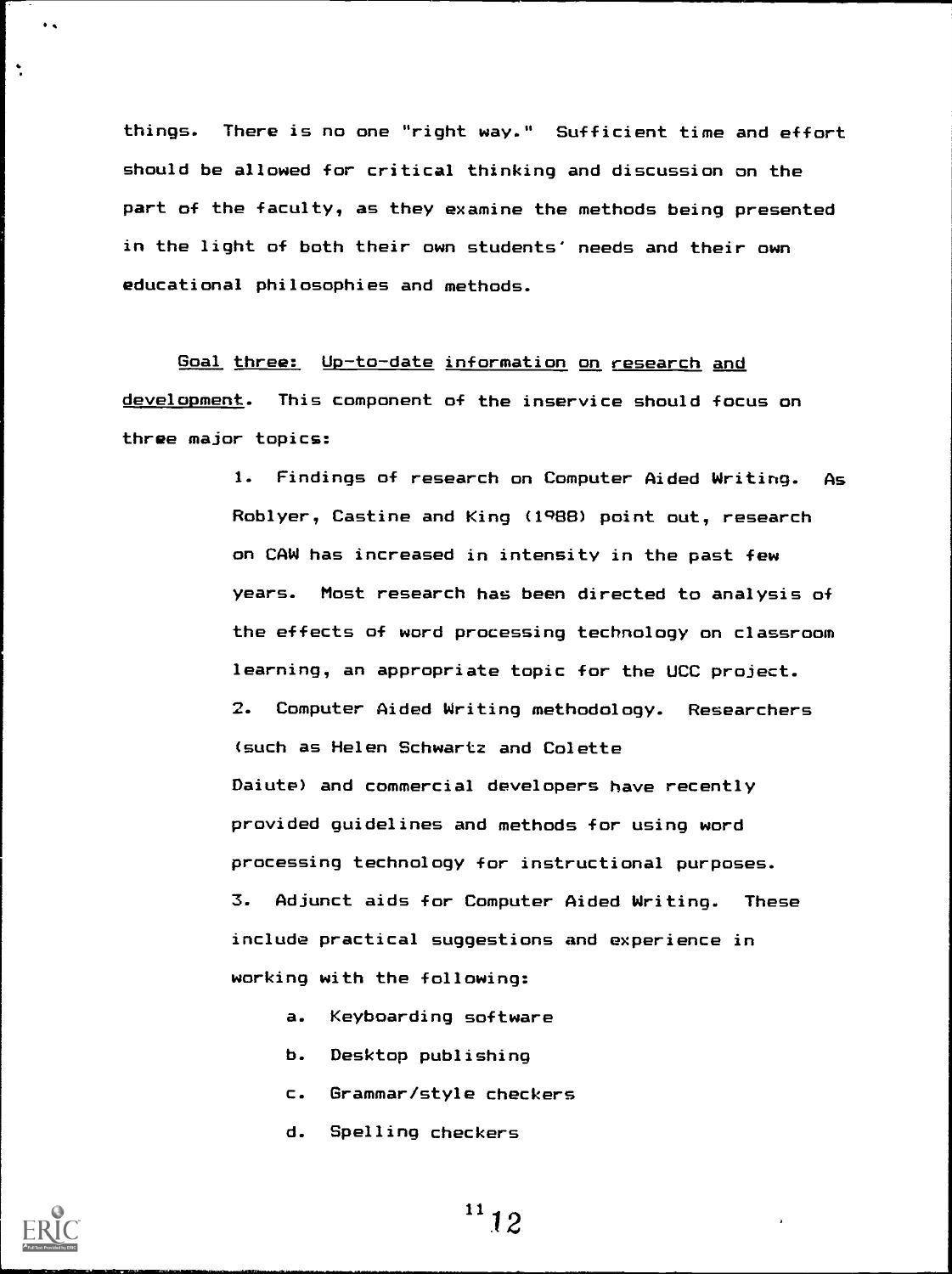things. There is no one "right way." Sufficient time and effort should be allowed for critical thinking and discussion on the part of the faculty, as they examine the methods being presented in the light of both their own students' needs and their own educational philosophies and methods.

Goal three: Up-to-date information on research and development. This component of the inservice should focus on three major topics:

> 1. Findings of research on Computer Aided Writing. As Roblyer, Castine and King (1988) point out, research on CAW has increased in intensity in the past few years. Most research has been directed to analysis of the effects of word processing technology on classroom learning, an appropriate topic for the UCC project. 2. Computer Aided Writing methodology. Researchers (such as Helen Schwartz and Colette Daiute) and commercial developers have recently provided guidelines and methods for using word processing technology for instructional purposes. 3. Adjunct aids for Computer Aided Writing. These include practical suggestions and experience in working with the following:

- a. Keyboarding software
- b. Desktop publishing
- c. Grammar/style checkers
- d. Spelling checkers



 $\ddot{\bullet}$ 

 $\ddot{\phantom{a}}$ 

 $11/12$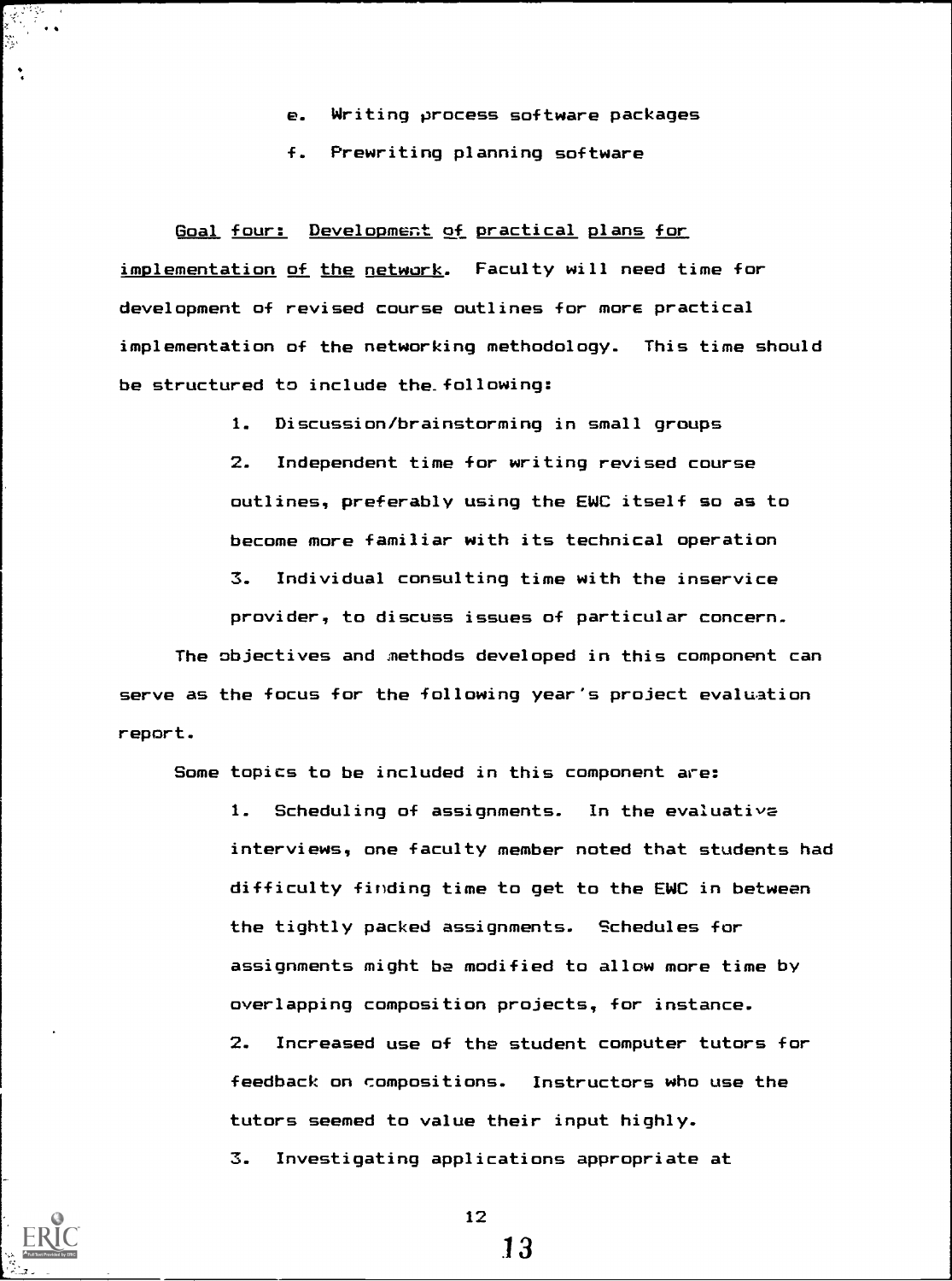- e. Writing process software packages
- f. Prewriting planning software

Goal four: Development of practical plans for implementation of the network. Faculty will need time for development of revised course outlines for more practical implementation of the networking methodology. This time should be structured to include the.following:

1. Discussion/brainstorming in small groups

2. Independent time for writing revised course outlines, preferably using the EWC itself so as to become more familiar with its technical operation 3. Individual consulting time with the inservice provider, to discuss issues of particular concern.

The objectives and methods developed in this component can serve as the focus for the following year's project evaluation report.

Some topics to be included in this component are:

1. Scheduling of assignments. In the evaluative interviews, one faculty member noted that students had difficulty finding time to get to the EWC in between the tightly packed assignments. Schedules for assignments might be modified to allow more time by overlapping composition projects, for instance. 2. Increased use of the student computer tutors for eedback on compositions. Instructors who use the utors seemed to value their input highly. t  $\mathfrak{S}_{\bullet}$ Investigating applications appropriate at



 $\ddot{\phantom{a}}$ 

12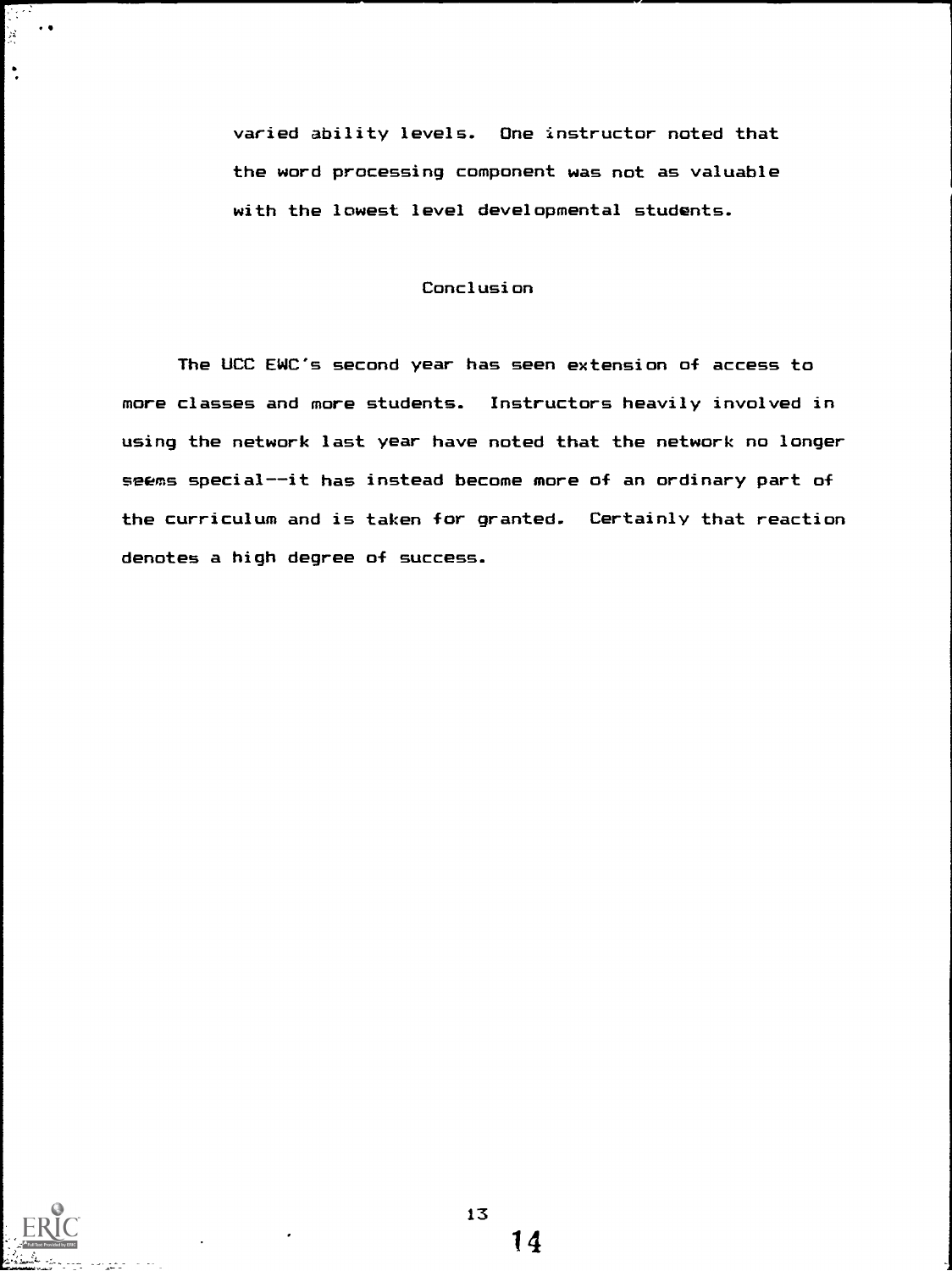varied ability levels. One instructor noted that the word processing component was not as valuable with the lowest level developmental students.

# Conclusion

The UCC EWC's second year has seen extension of access to more classes and more students. Instructors heavily involved in using the network last year have noted that the network no longer seems special--it has instead become more of an ordinary part of the curriculum and is taken for granted. Certainly that reaction denotes a high degree of success.



ing Co<br>S  $\rightarrow$   $\bullet$ ing).<br>Sta

 $\ddot{\phantom{1}}$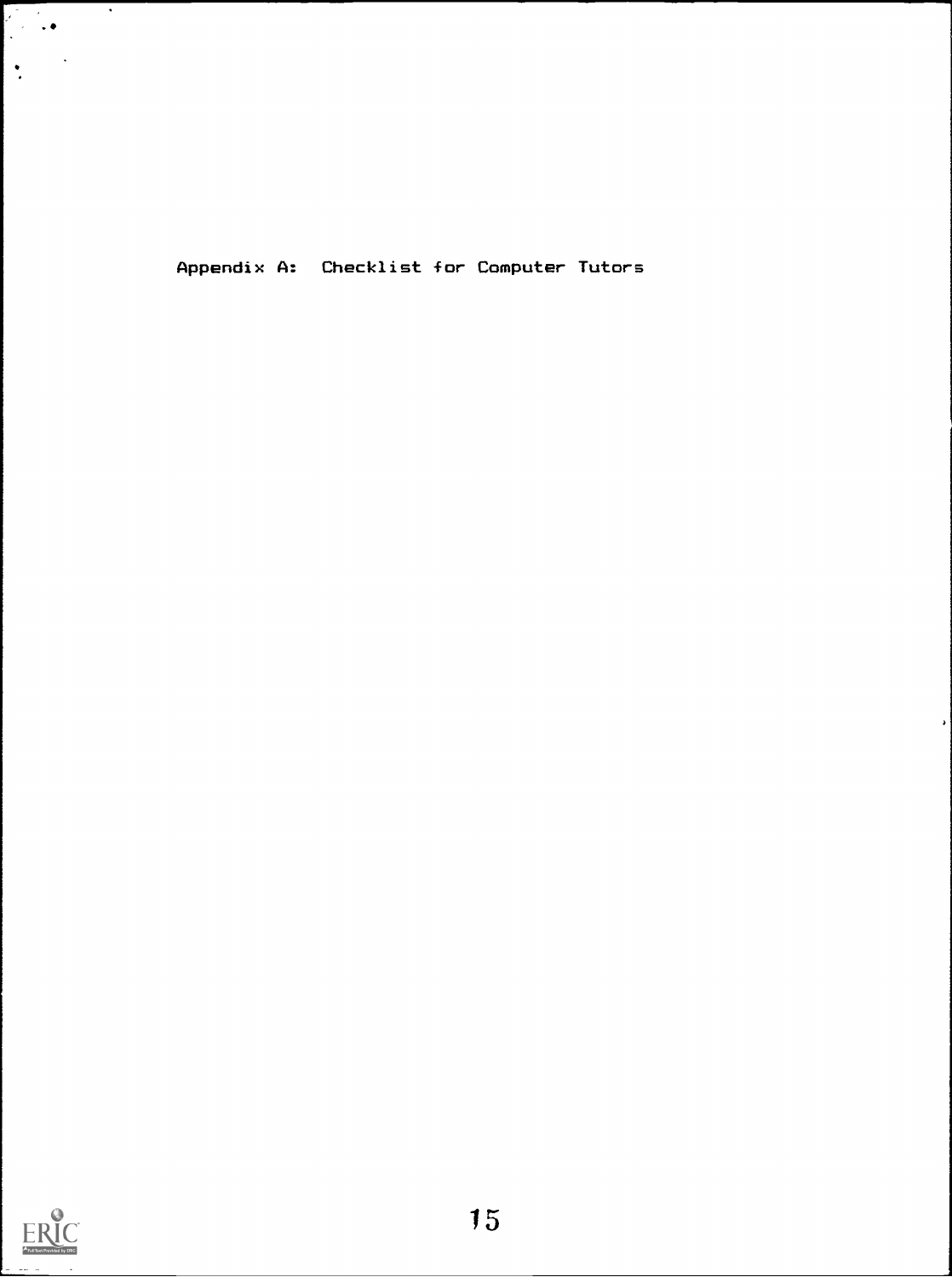Appendix A: Checklist for Computer Tutors



 $\left| \cdot \right|$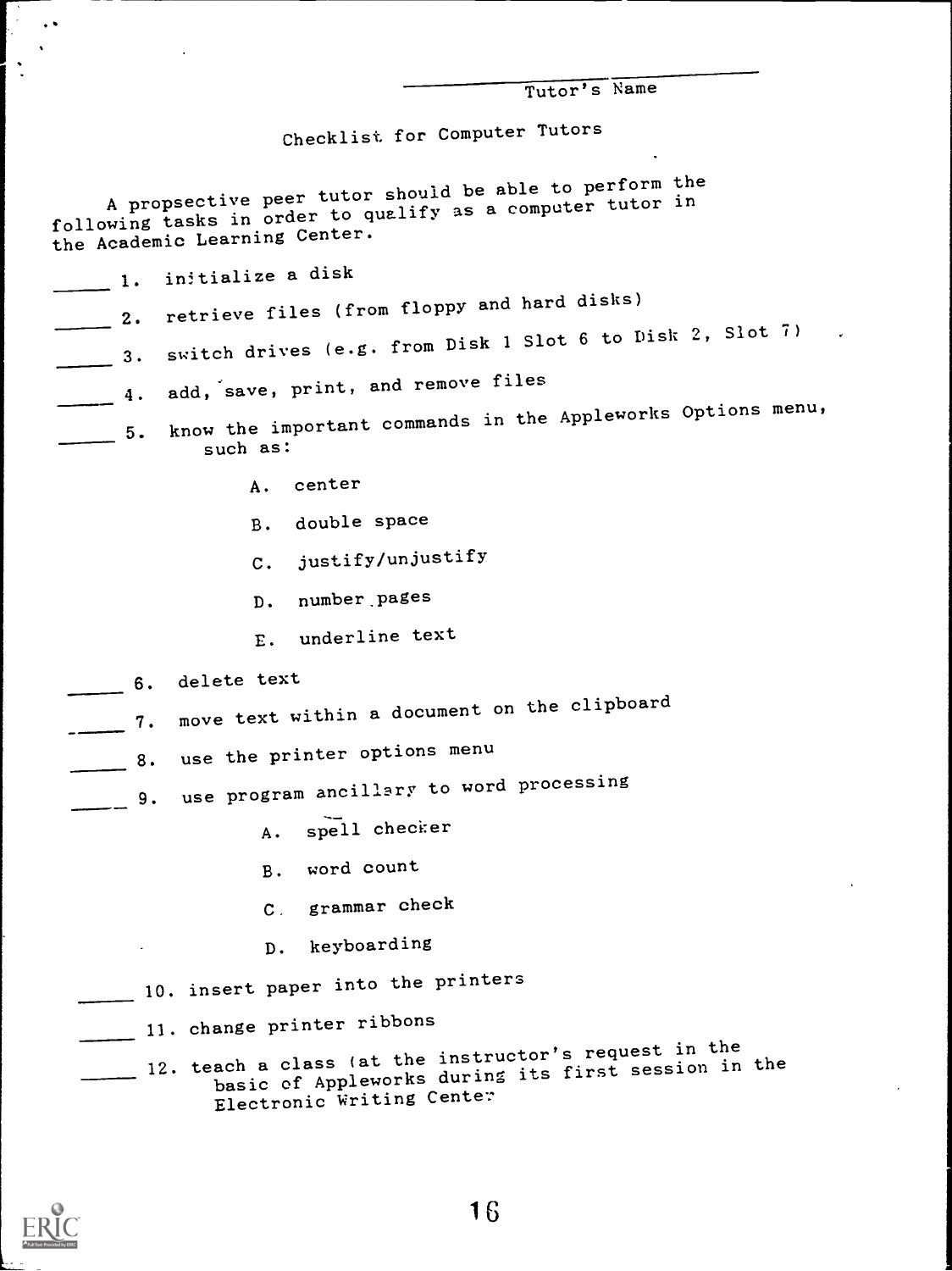| Tutor's Name |
|--------------|
|              |

Checklist for Computer Tutors

A propsective peer tutor should be able to perform the<br>measure to qualify as a computer tutor in A propsective peer tutor should as a computer tutor in<br>following tasks in order to qualify as a computer tutor in the Academic Learning Center.

| initialize a disk<br>1.                                                                                      |
|--------------------------------------------------------------------------------------------------------------|
| retrieve files (from floppy and hard disks)<br>2.                                                            |
| switch drives (e.g. from Disk 1 Slot 6 to Disk 2, Slot 7)<br>3.                                              |
| add, save, print, and remove files<br>4.                                                                     |
| know the important commands in the Appleworks Options menu,<br>5.<br>such as:                                |
| center<br>Α.                                                                                                 |
| double space<br>в.                                                                                           |
| justify/unjustify<br>c.                                                                                      |
| number pages<br>D.                                                                                           |
| underline text<br>Ε.                                                                                         |
| delete text<br>6.                                                                                            |
| move text within a document on the clipboard<br>7.                                                           |
| use the printer options menu<br>8.                                                                           |
| use program ancillary to word processing<br>9.                                                               |
| spell checker<br>А.                                                                                          |
| word count<br>в.                                                                                             |
| grammar check<br>$\mathbf{C}$ .                                                                              |
| keyboarding<br>$D$ .                                                                                         |
| 10. insert paper into the printers                                                                           |
| 11. change printer ribbons                                                                                   |
| 12. teach a class (at the instructor's request in the<br>basic of Appleworks during its first session in the |



 $\left| \cdot \right|$ 

 $\ddot{\cdot}$ 

 $\bullet$   $\bullet$ 

Electronic Writing Center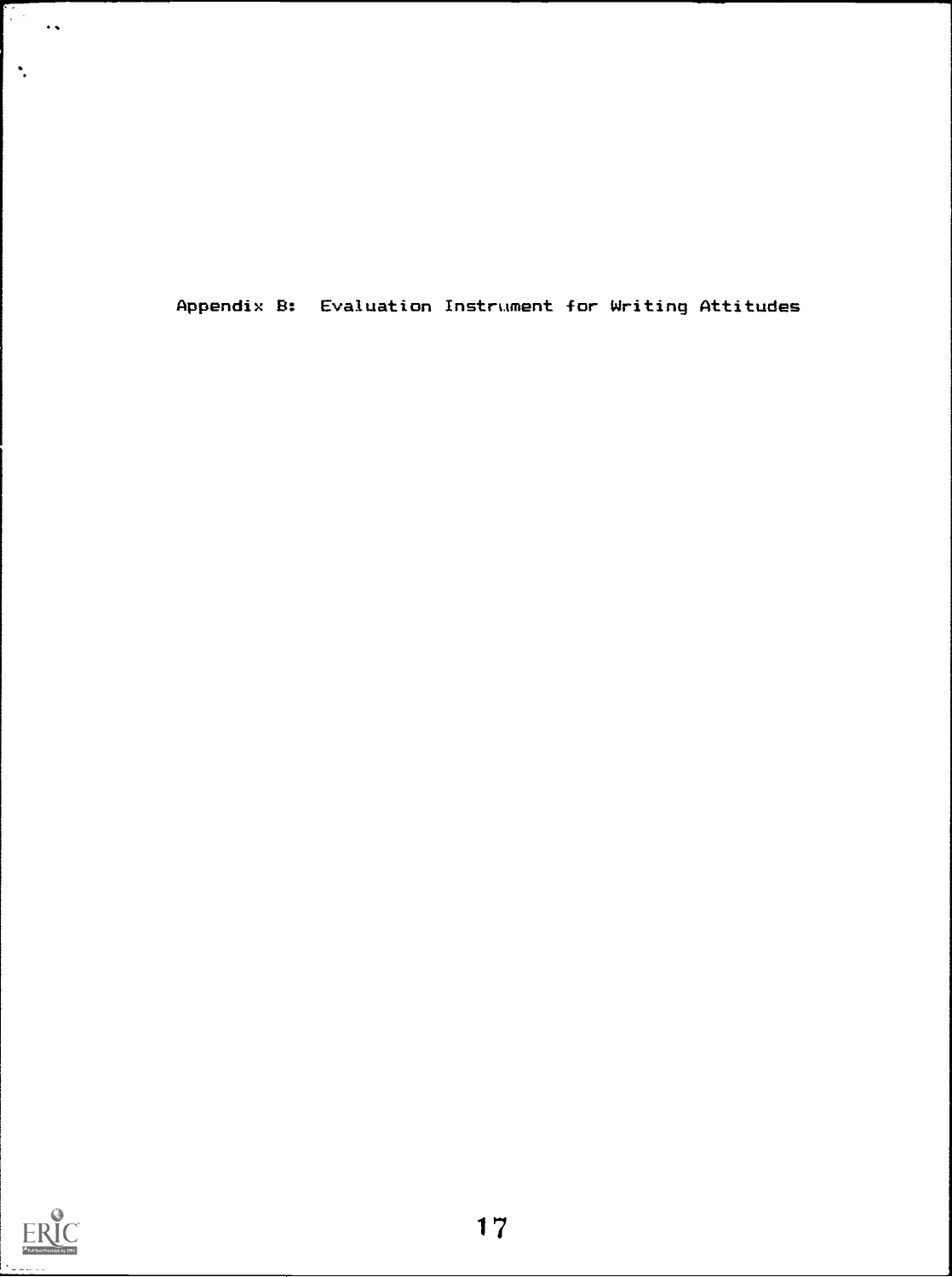Appendix B: Evaluation Instrument for Writing Attitudes



 $\left| \cdot \right|$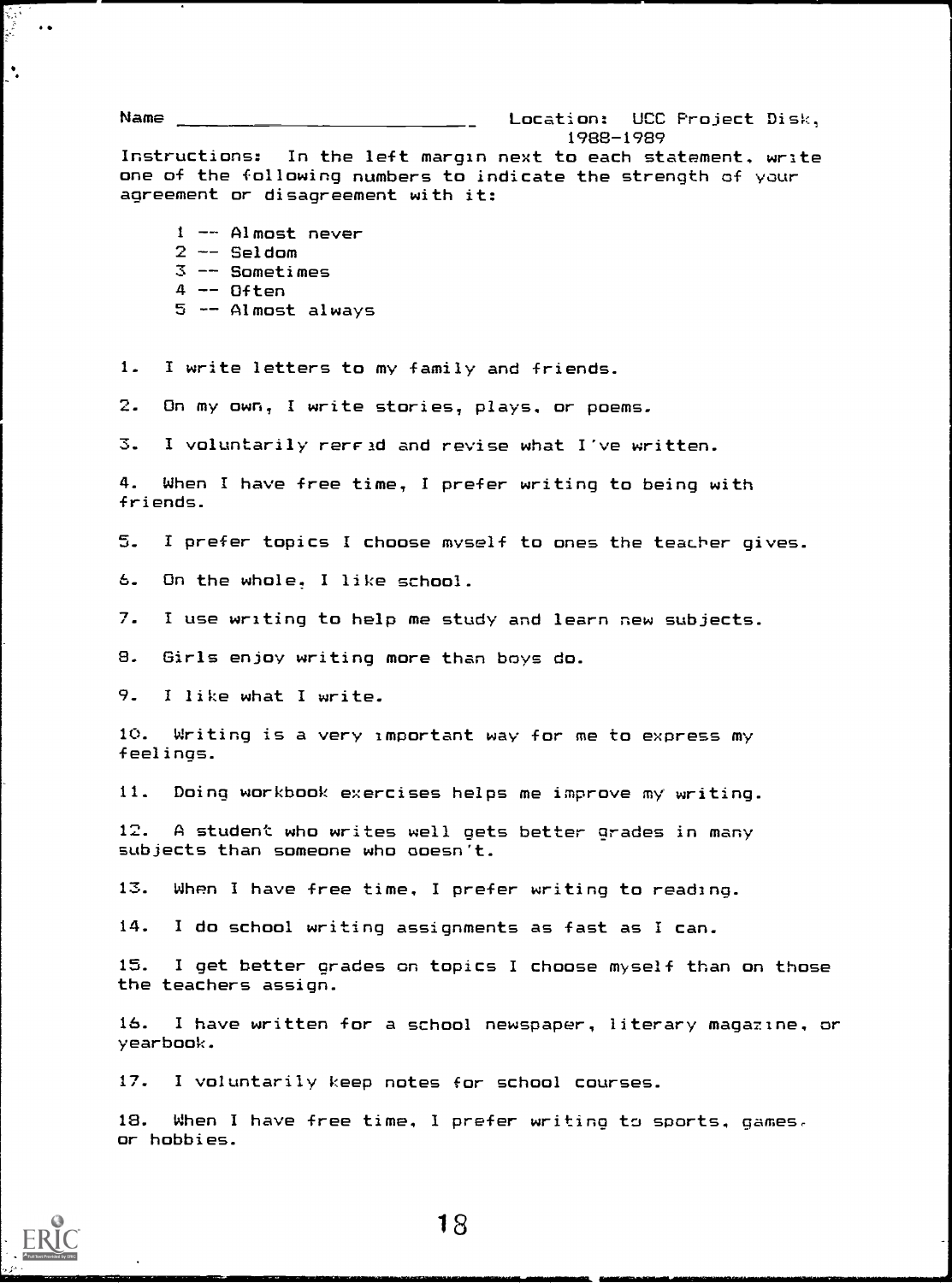Name Location: UCC Project Disk, 1988 -1989 Instructions: In the left margin next to each statement, write one of the following numbers to indicate the strength of your agreement or disagreement with it: <sup>1</sup> -- Almost never  $2$  -- Seldom  $3$   $-$  Sometimes  $4$  -- Often  $5$   $-$  Almost always 1. I write letters to my family and friends. 2. On my own, I write stories, plays, or poems. 3. I voluntarily rerFad and revise what I've written.

4. When I have free time, I prefer writing to being with friends.

5. I prefer topics I choose myself to ones the teacher gives.

On the whole. I like school. 6.

7. I use writing to help me study and learn new subjects.

8. Girls enjoy writing more than boys do.

9. I like what I write.

10. Writing is a very important way for me to express my feelings.

11. Doing workbook exercises helps me improve my writing.

12. A student who writes well gets better grades in many subjects than someone who ooesn't.

13. When I have free time, I prefer writing to reading.

14. I do school writing assignments as fast as I can.

15. I get better grades on topics I choose myself than on those the teachers assign.

16. I have written for a school newspaper, literary magazine, or yearbook.

17. I voluntarily keep notes for school courses.

18. When I have free time, I prefer writing to sports, games, or hobbies.



 $\ddot{\phantom{0}}$ 

 $\ddot{\phantom{a}}$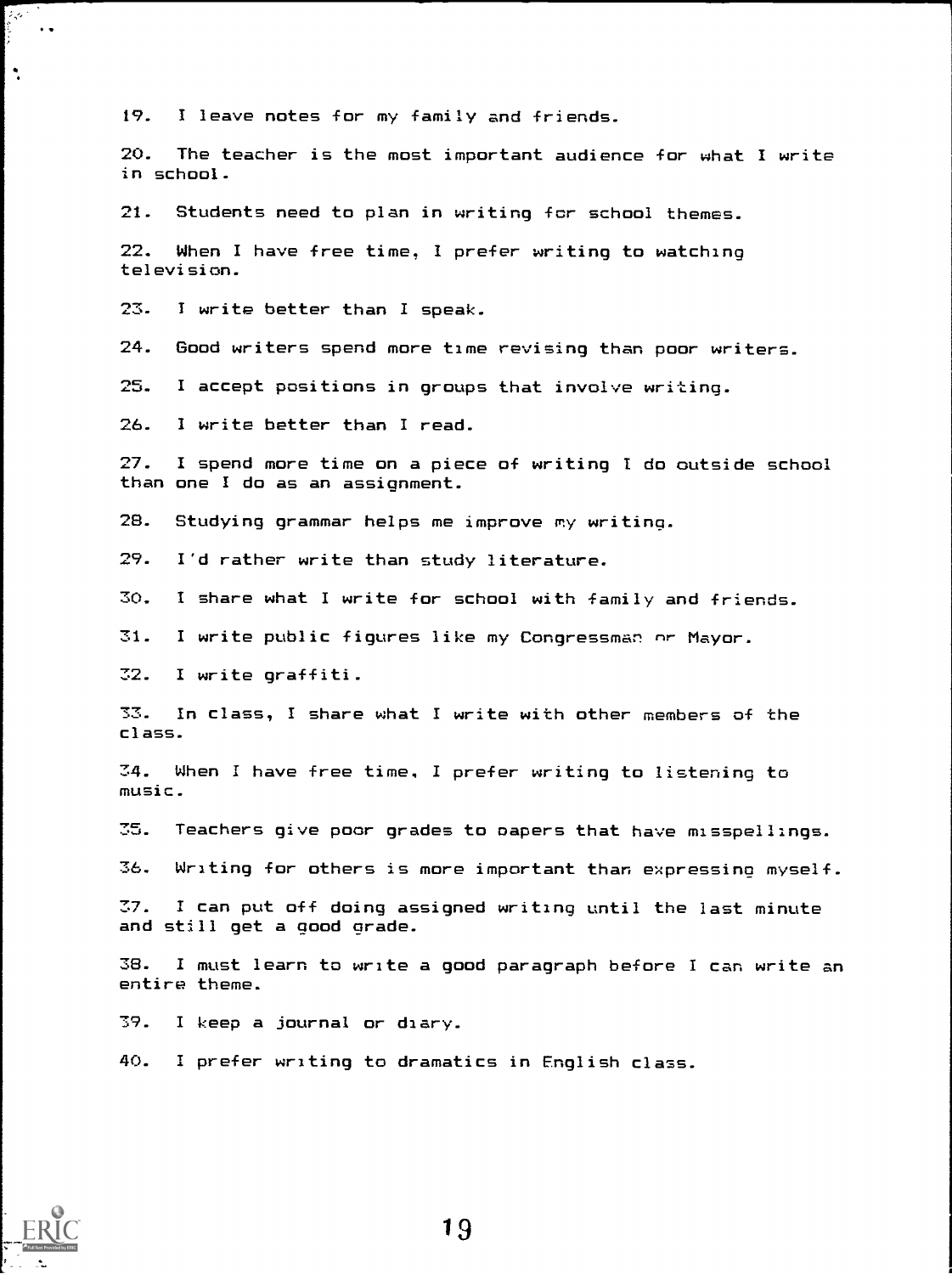19. I leave notes for my family and friends.

20. The teacher is the most important audience for what I write in school.

21. Students need to plan in writing far school themes.

22. When I have free time, I prefer writing to watching television.

23. I write better than I speak.

24. Good writers spend more time revisina than poor writers.

25. I accept positions in groups that involve writing.

26. I write better than I read.

27. I spend more time on a piece of writing I do outside school than one I do as an assignment.

28. Studying grammar helps me improve my writing.

29. I'd rather write than study literature.

30. I share what I write for school with family and friends.

31. I write public figures like my Congressman nr Mayor.

32. I write graffiti.

33. In class, I share what I write with other members of the class.

34. When I have free time, I prefer writing to listening to music.

35. Teachers give poor grades to capers that have misspellings.

36. Writing for others is more important than expressing myself.

37. I can put off doing assigned writing until the last minute and still get a good grade.

38. I must learn to write a good paragraph before I can write an entire theme.

79. I keep a journal or diary.

40. I prefer writing to dramatics in English class.



 $\rightarrow$ 

 $\ddot{\phantom{1}}$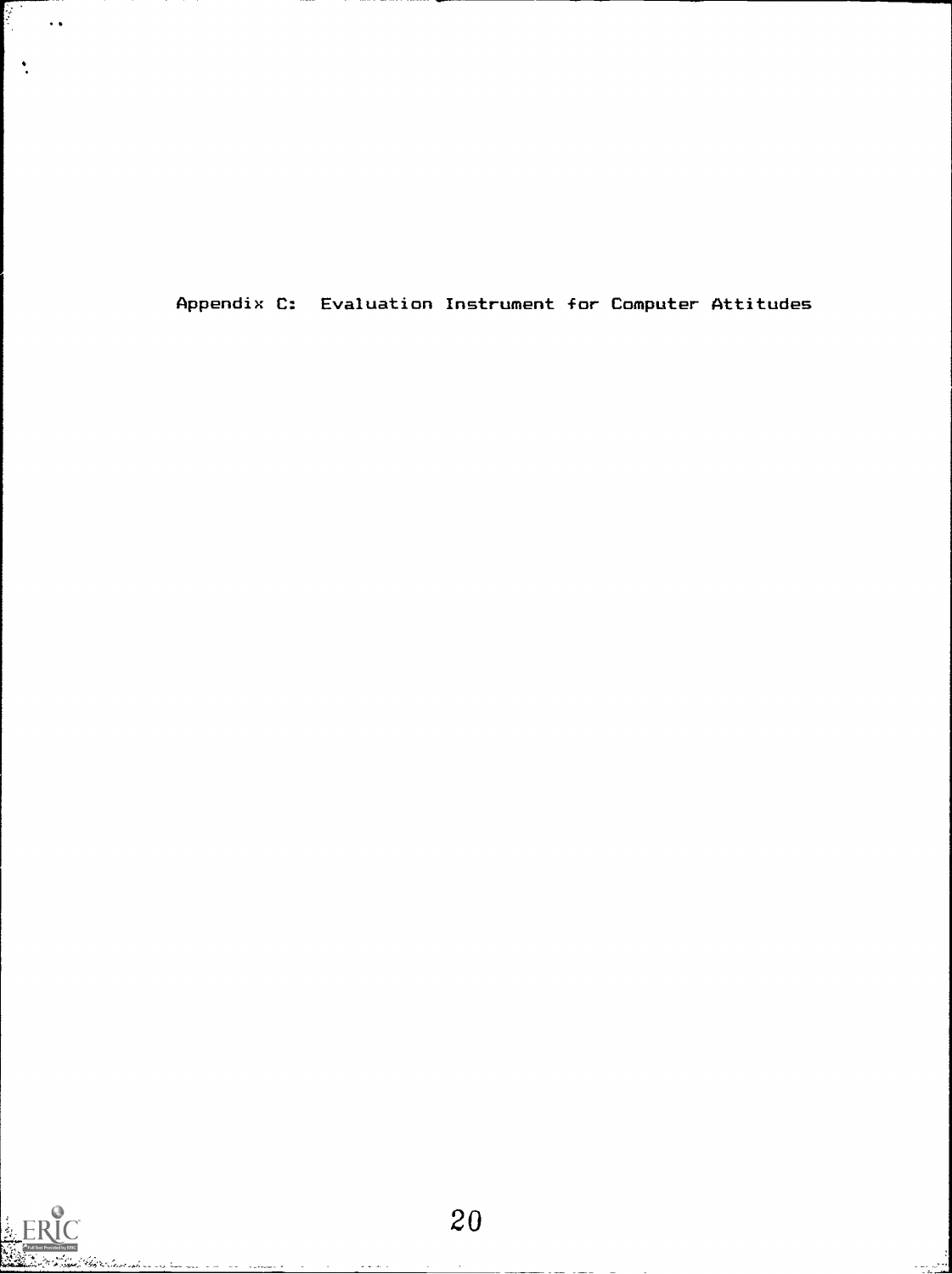Appendix C: Evaluation Instrument for Computer Attitudes

 $\ddot{\cdot}$ 

 $\ddot{\phantom{1}}$ 

دی ده<br>منابع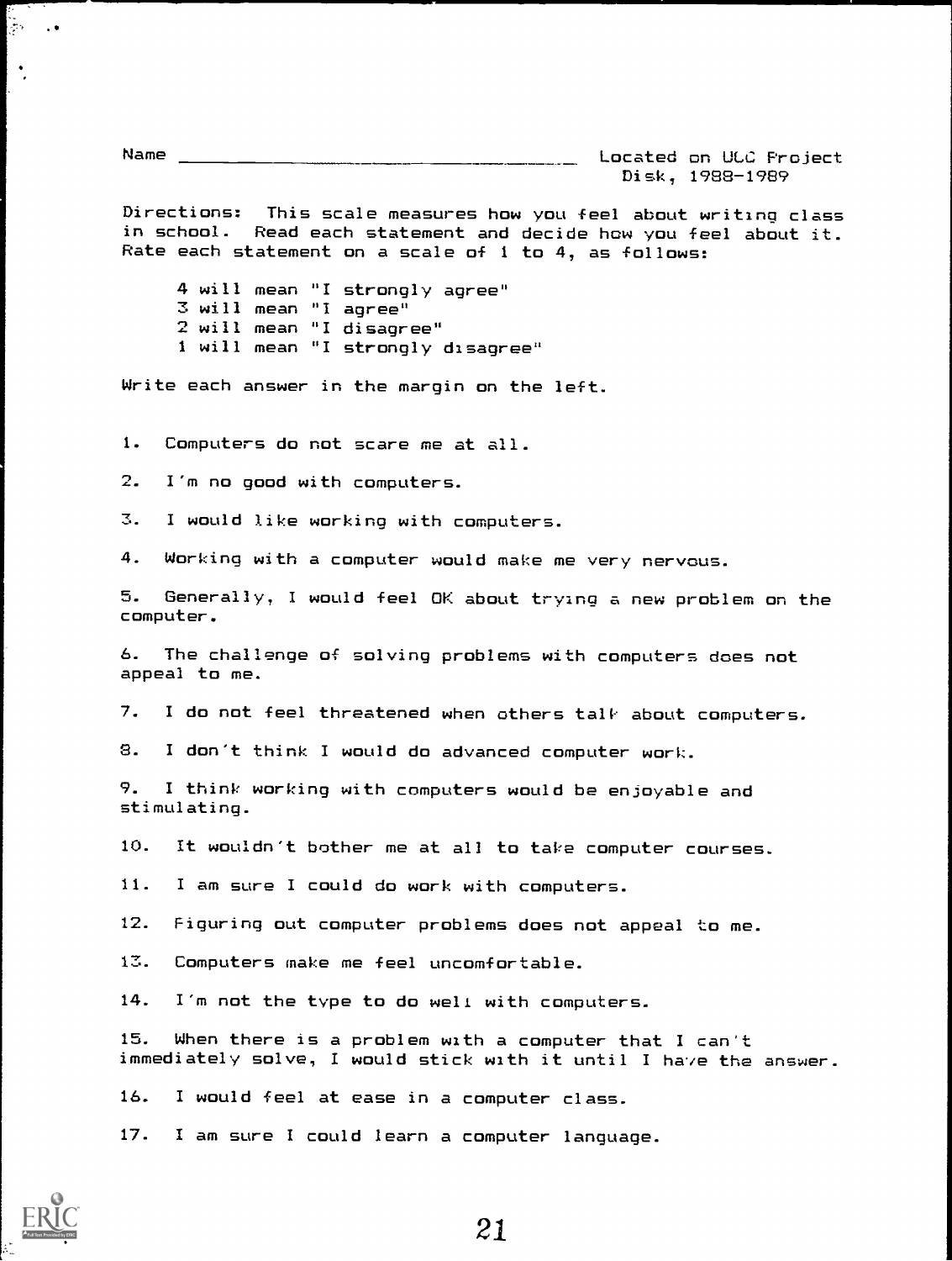Name Located on ULC Project Disk, 1988-1989

Directions: This scale measures how you feel about writing class in school. Read each statement and decide how you feel about it. Rate each statement on a scale of <sup>1</sup> to 4, as follows:

4 will mean "I strongly agree" 3 will mean "I agree" 2 will mean "I disagree" 1 will mean "I strongly disagree"

Write each answer in the margin on the left.

1. Computers do not scare me at all.

2. I'm no good with computers.

3. I would like working with computers.

4. Working with a computer would make me very nervous.

5. Generally, I would feel OK about trying a new problem on the computer.

6. The challenge of solving problems with computers does not appeal to me.

7. I do not feel threatened when others talk about computers.

8. I don't think I would do advanced computer work.

9. I think working with computers would be enjoyable and stimulating.

10. It wouldn't bother me at all to take computer courses.

11. I am sure I could do work with computers.

12. Figuring out computer problems does not appeal to me.

13. Computers make me feel uncomfortable.

14. I'm not the type to do well with computers.

15. When there is a problem with a computer that I can't immediately solve, I would stick with it until I have the answer.

16. I would feel at ease in a computer class.

17. I am sure I could learn a computer language.



iyo.<br>Ma  $\sim$  . <br>  $\bullet$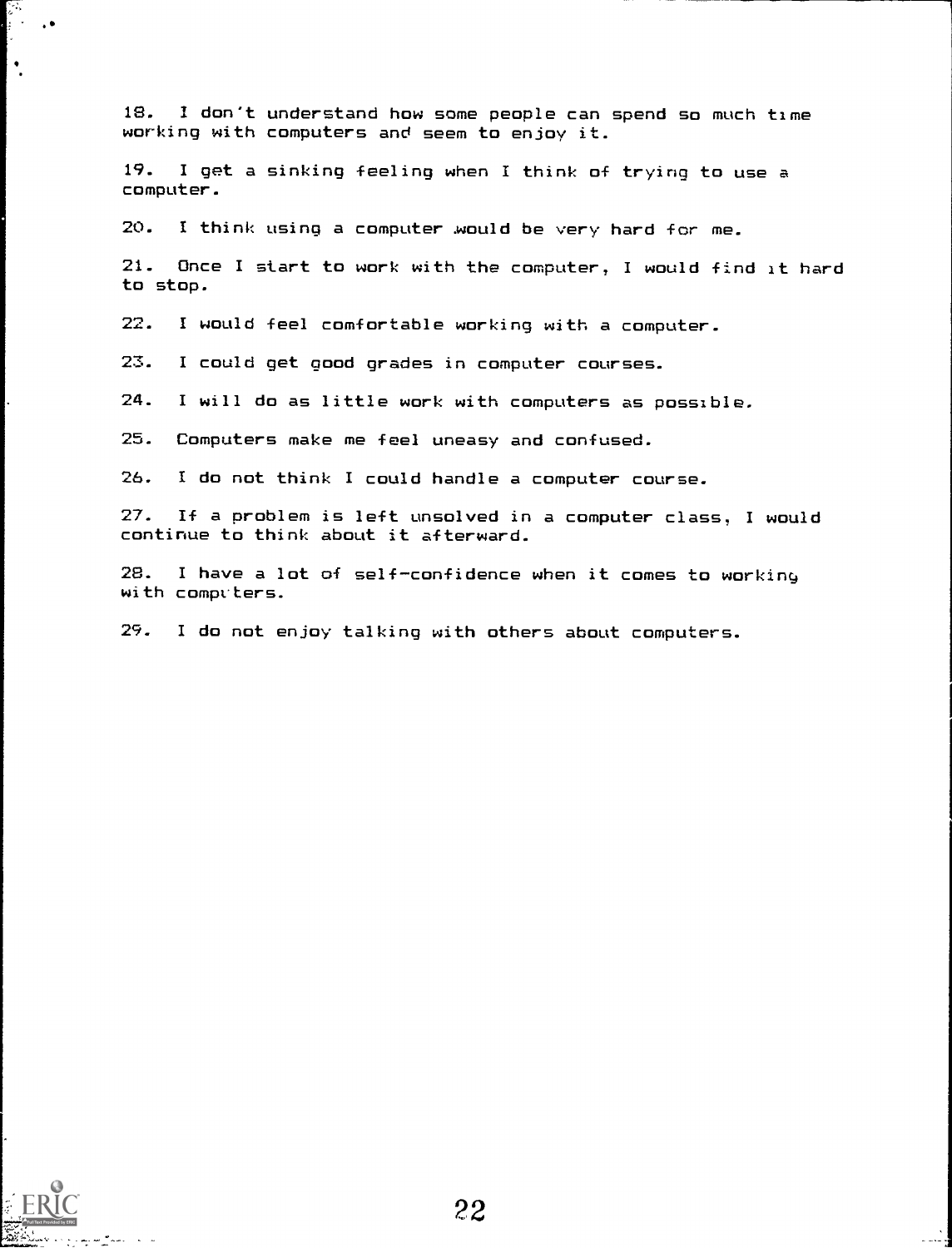18. I don't understand how some people can spend so much time working with computers and seem to enjoy it

19. I get a sinking feeling when I think of trying to use a computer.

20. I think using a computer .would be very hard for me.

21. Once I start to work with the computer, I would find it hard to stop.

22. I would feel comfortable working with a computer.

23. I could get good grades in computer courses.

24. I will do as little work with computers as possible.

25. Computers make me feel uneasy and confused.

26. I do not think I could handle a computer course.

27. If a problem is left unsolved in a computer class, I would continue to think about it afterward.

28. I have a lot of self-confidence when it comes to working with computers.

29. I do not enjoy talking with others about computers.



الأنواب.<br>أولا  $\ddot{\phantom{0}}$ 

 $\ddot{\phantom{a}}$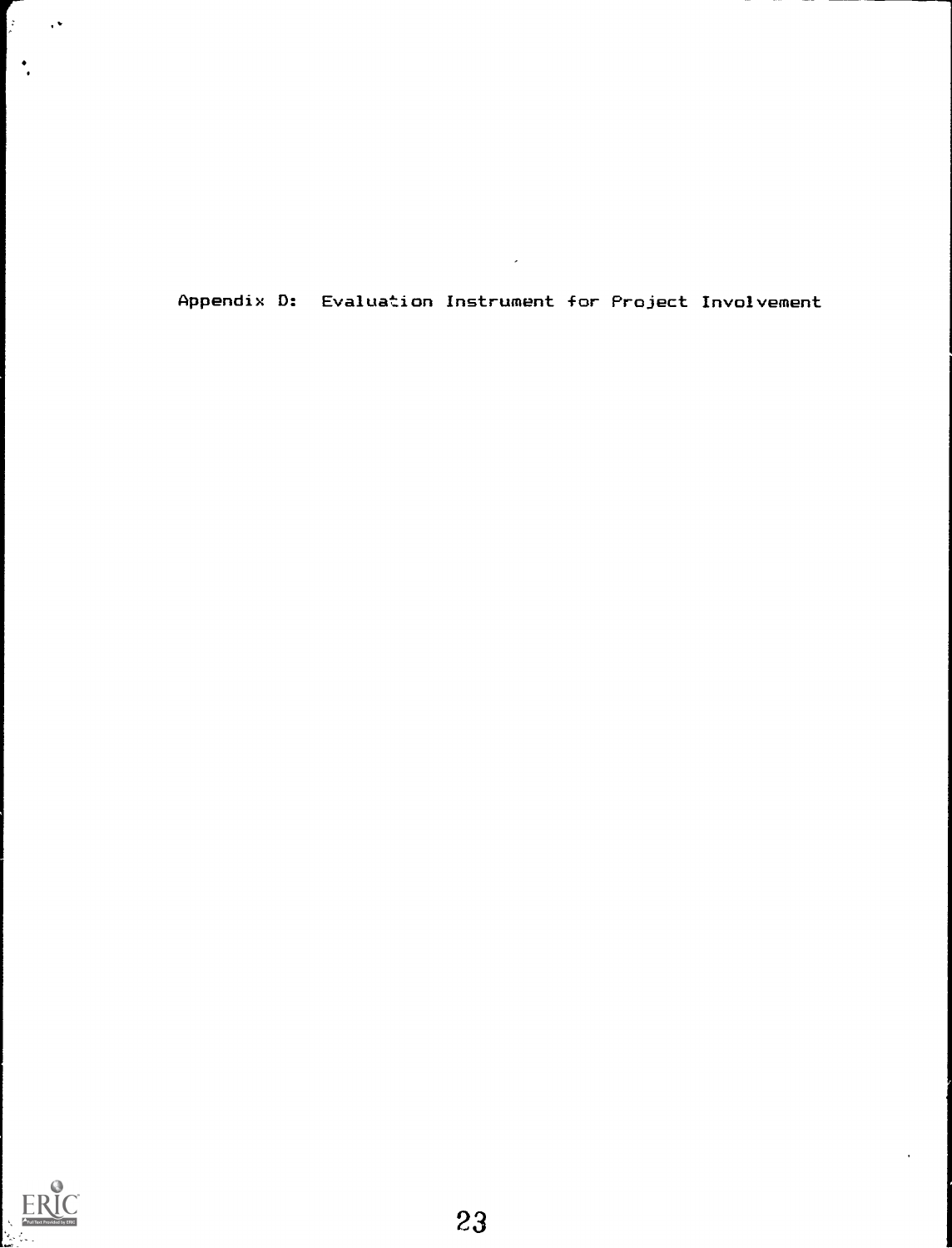Appendix D: Evaluation Instrument for Project Involvement

 $\overline{a}$ 



 $\mathbf{r}$  $\sim 10$ 

 $\left| \cdot \right|$ 

 $\epsilon$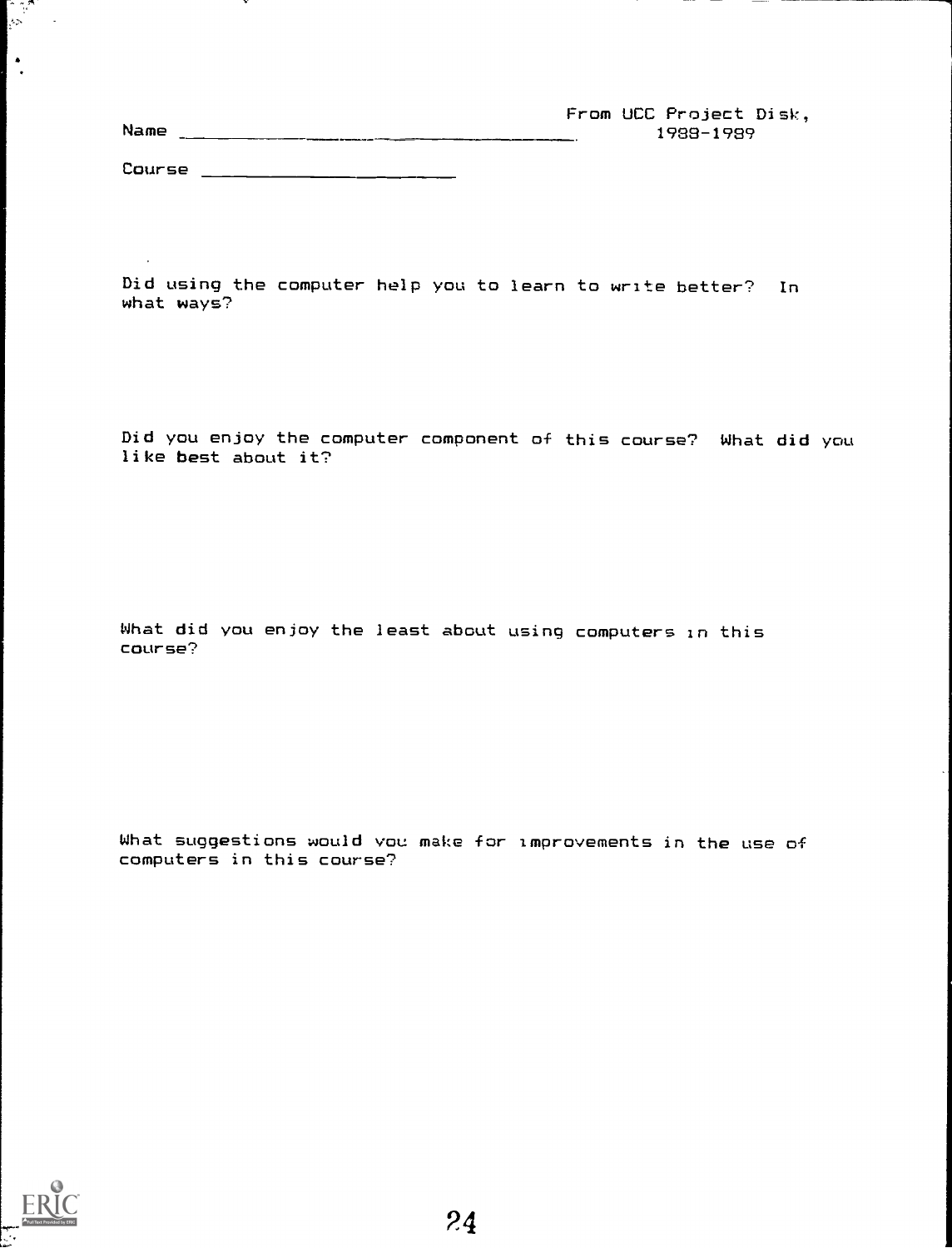| From UCC Project Disk, |  |
|------------------------|--|
| Name<br>1988-1989      |  |
|                        |  |
| Course                 |  |

Did using the computer help you to learn to write better? In what ways?

Did you enjoy the computer component of this course? What did you like best about it?

What did you enjoy the least about using computers in this course?

What suggestions would you make for improvements in the use of computers in this course?



 $\left[\begin{smallmatrix} 1 & 0 & 0 \\ 0 & 0 & 0 \\ 0 & 0 & 0 \end{smallmatrix}\right]$ 

 $\ddot{\cdot}$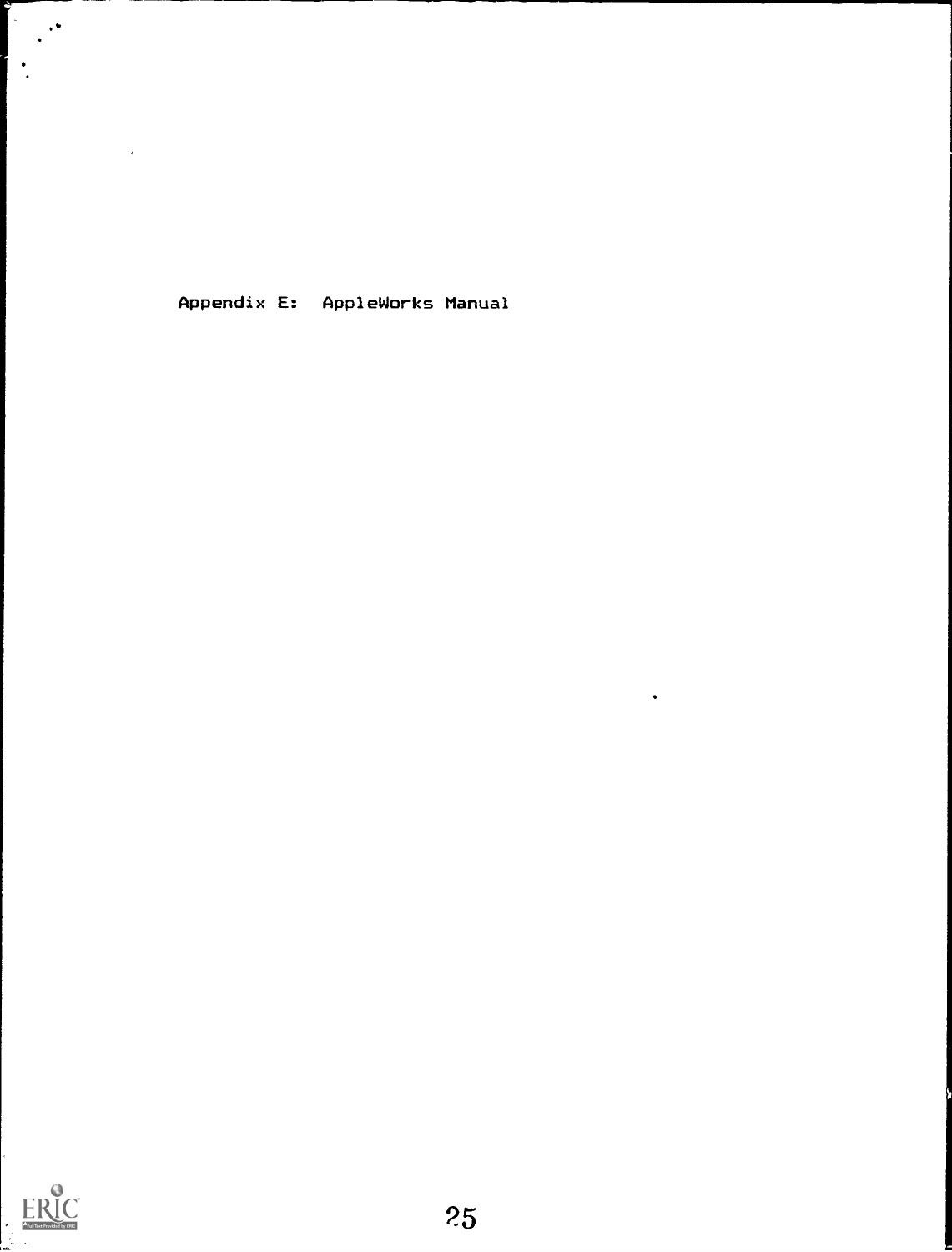Appendix E: AppleWorks Manual



 $\bar{r}$ 

 $\bullet$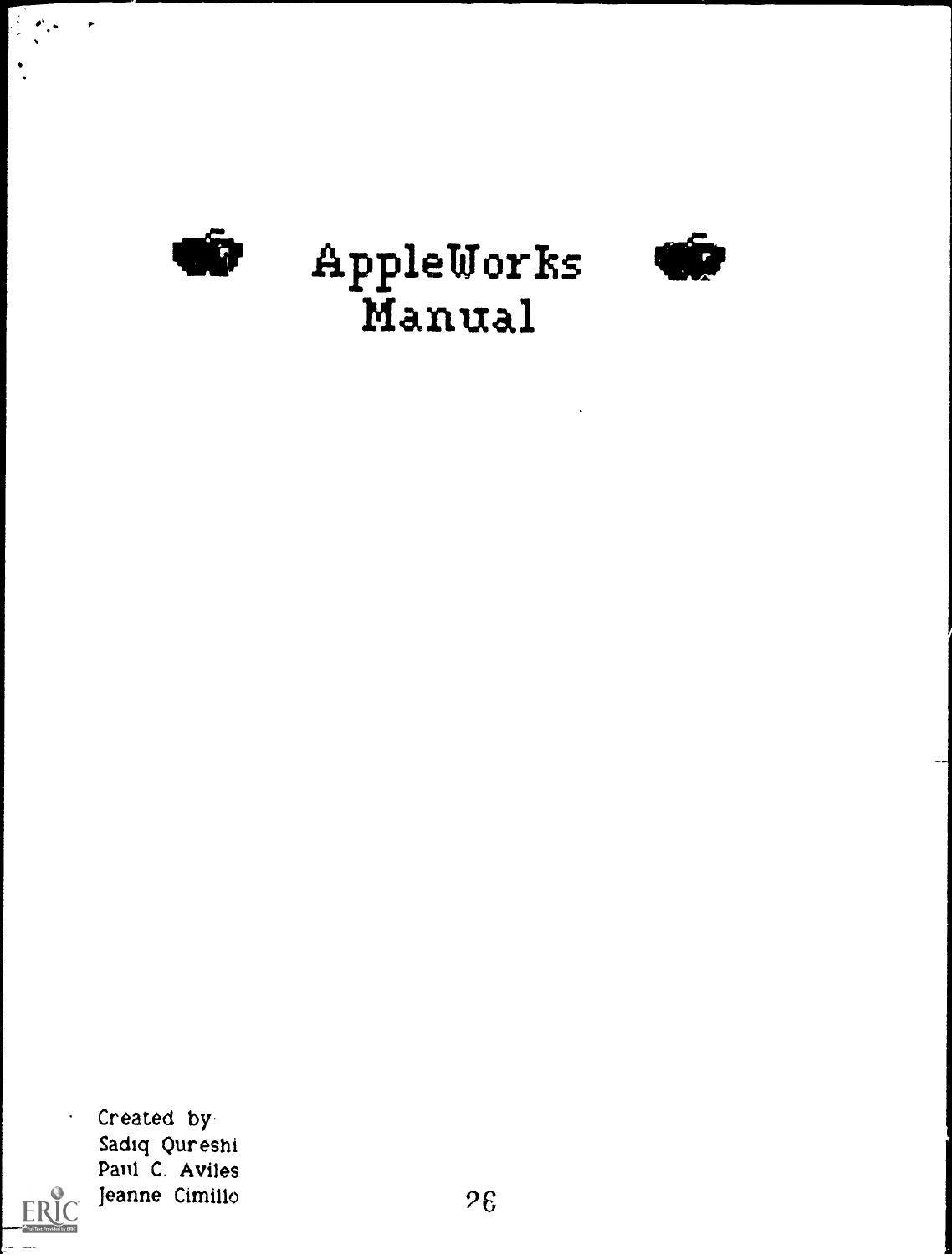

 $\mathcal{L}_{\mathcal{A}}$ 

 $\bullet$ 

 $\ddot{\phantom{0}}$ 

# **go** AppleWorks<br>Manual



 $\ddot{\phantom{0}}$ 

ERIC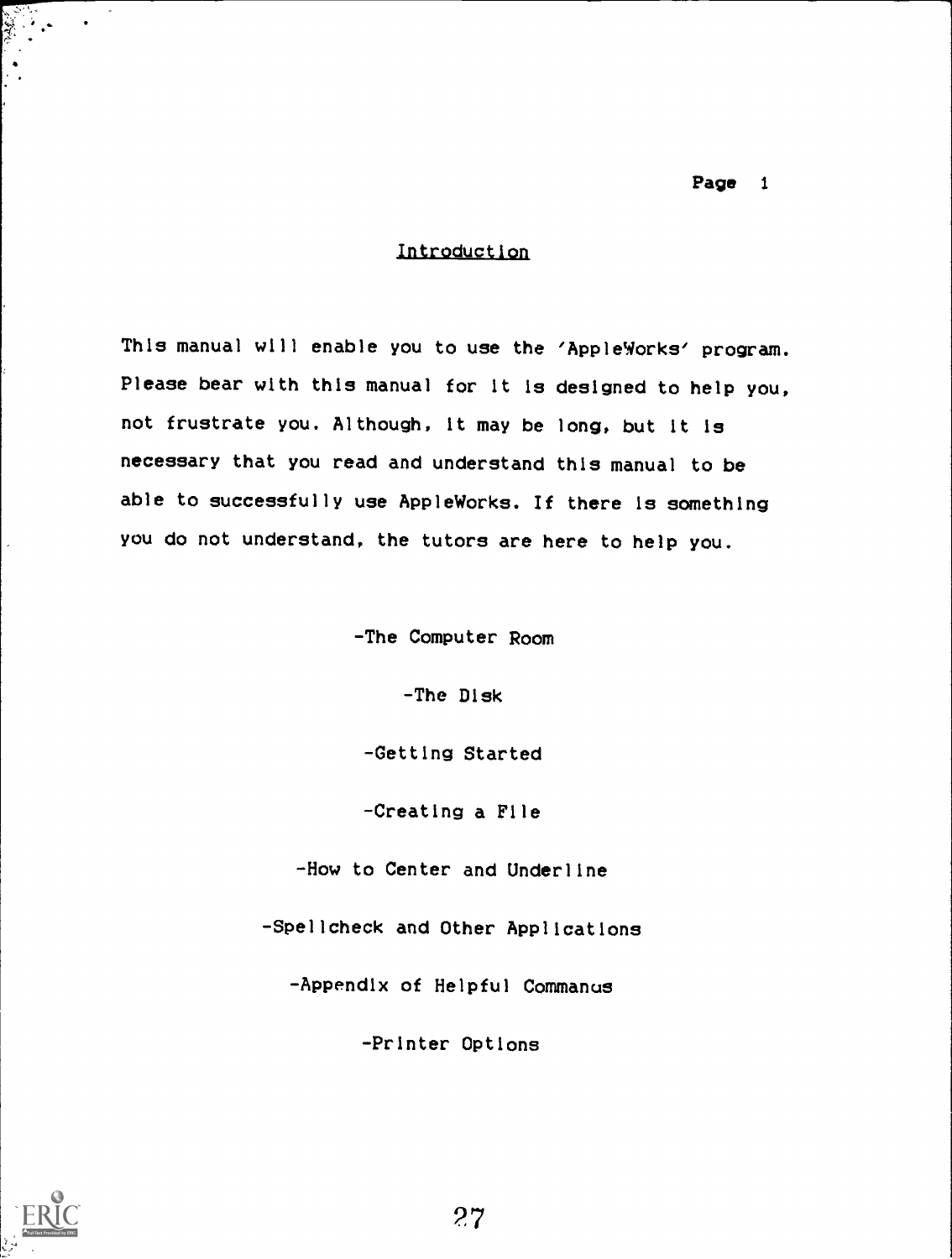# Introduction

This manual will enable you to use the 'AppleWorks' program. Please bear with this manual for it is designed to help you, not frustrate you. Although, it may be long, but it is necessary that you read and understand this manual to be able to successfully use AppleWorks. If there is something you do not understand, the tutors are here to help you.

-The Computer Room

-The Disk

-Getting Started

-Creating a File

-How to Center and Underline

-Spellcheck and Other Applications

-Appendix of Helpful Commanus

-Printer Options

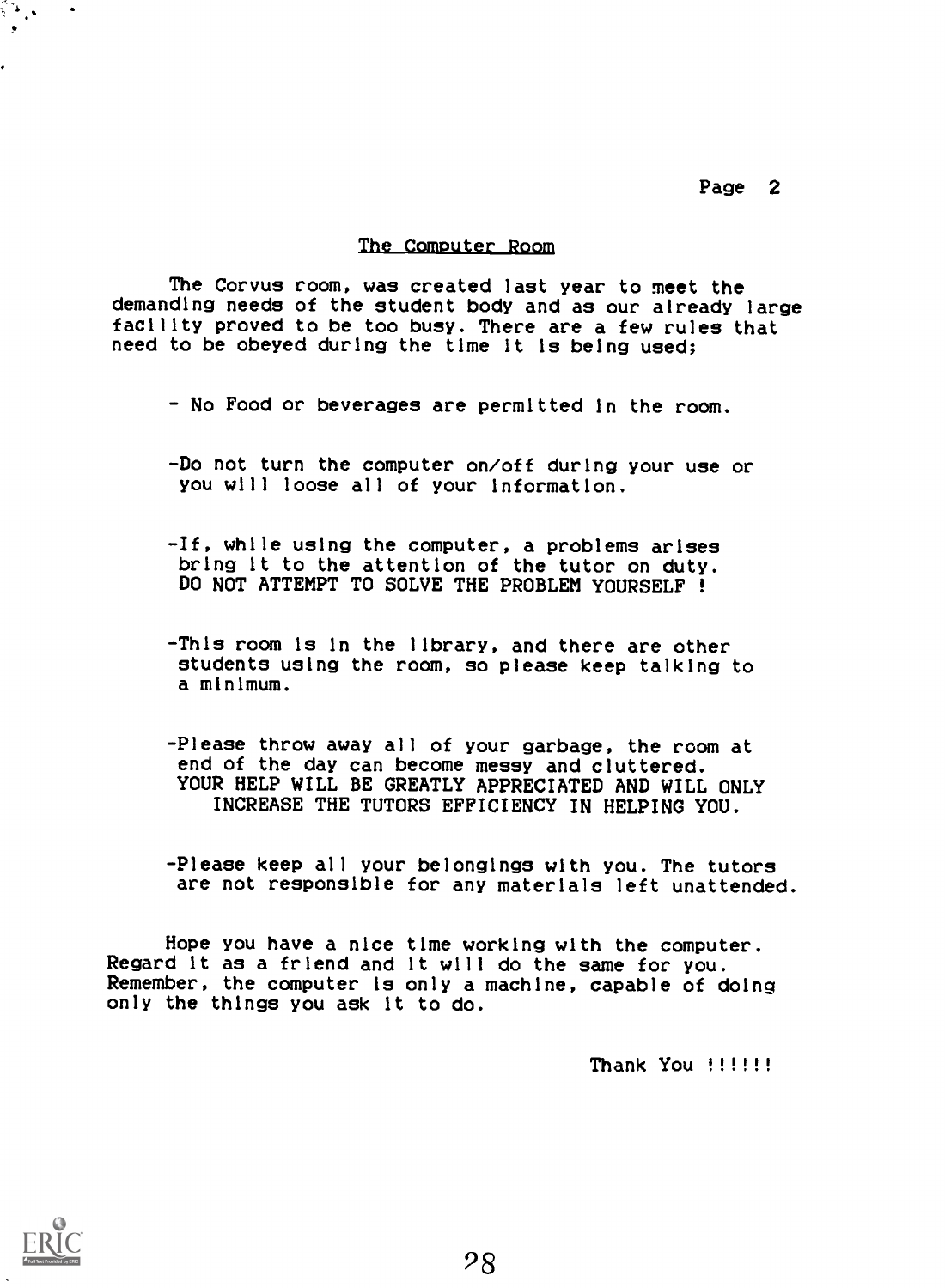#### The Computer Room

The Corvus room, was created last year to meet the demanding needs of the student body and as our already large facility proved to be too busy. There are a few rules that need to be obeyed during the time it is being used;

- No Food or beverages are permitted in the room.
- -Do not turn the computer on/off during your use or you will loose all of your Information.
- -If, while using the computer, a problems arises bring it to the attention of the tutor on duty. DO NOT ATTEMPT TO SOLVE THE PROBLEM YOURSELF !
- -This room is in the library, and there are other students using the room, so please keep talking to a minimum.
- -Please throw away all of your garbage, the room at end of the day can become messy and cluttered. YOUR HELP WILL BE GREATLY APPRECIATED AND WILL ONLY INCREASE THE TUTORS EFFICIENCY IN HELPING YOU.
- Please keep all your belongings with you. The tutors are not responsible for any materials left unattended.

Hope you have a nice time working with the computer. Regard it as a friend and it will do the same for you. Remember, the computer is only a machine, capable of doing only the things you ask it to do.

Thank You !!!!!!

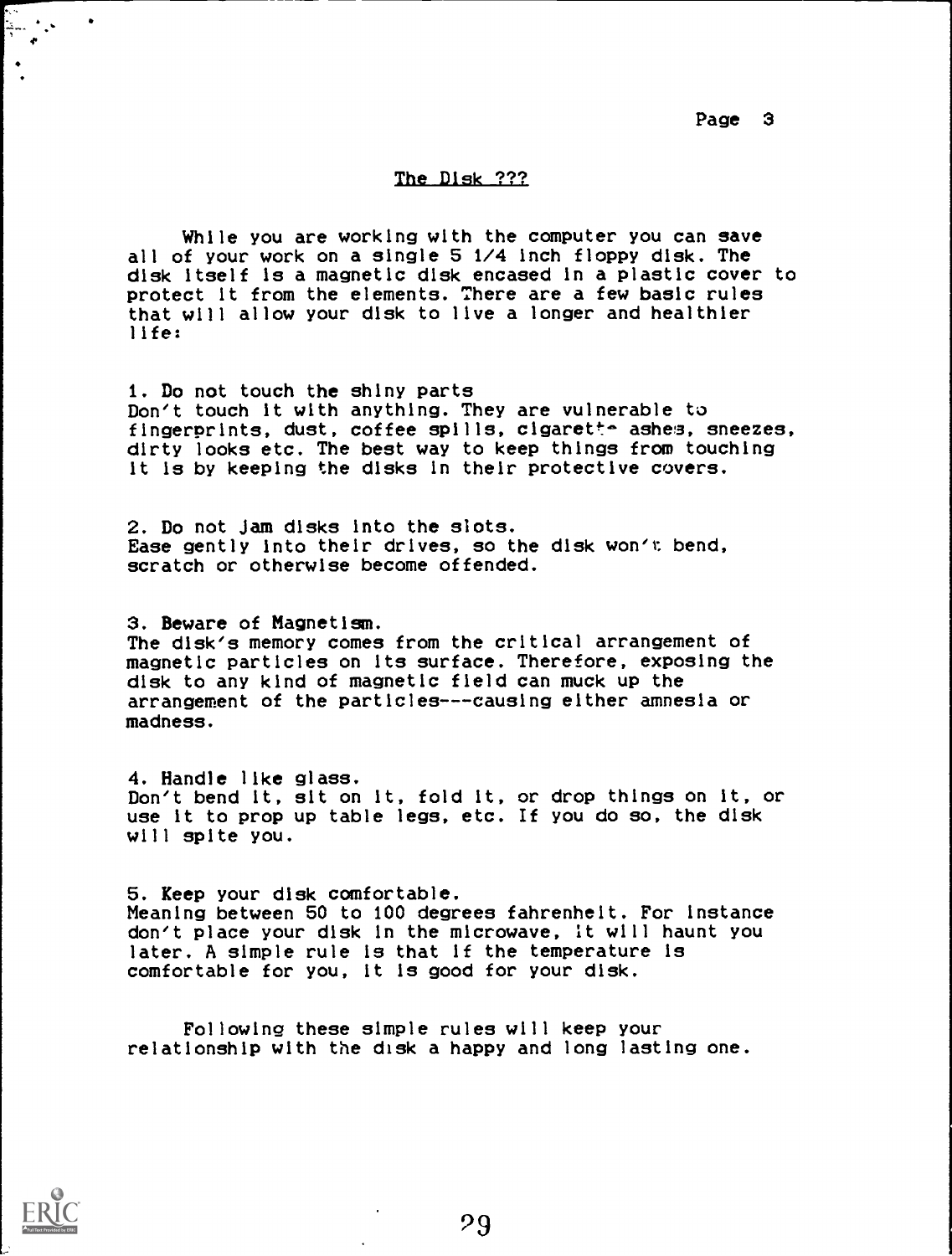# The Disk ???

While you are working with the computer you can save all of your work on a single 5 1/4 inch floppy disk. The disk itself is a magnetic disk encased in a plastic cover to protect it from the elements. There are a few basic rules that will allow your disk to live a longer and healthier life:

1. Do not touch the shiny parts Don't touch it with anything. They are vulnerable to fingerprints, dust, coffee spills, cigarette ashes, sneezes, dirty looks etc. The best way to keep things from touching it is by keeping the disks in their protective covers.

2. Do not Jam disks into the slots. Ease gently into their drives, so the disk won't bend, scratch or otherwise become offended.

3. Beware of Magnetism. The disk's memory comes from the critical arrangement of magnetic particles on its surface. Therefore, exposing the disk to any kind of magnetic field can muck up the arrangement of the particles---causing either amnesia or madness.

4. Handle like glass. Don't bend it, sit on it, fold it, or drop things on it, or use it to prop up table legs, etc. If you do so, the disk will spite you.

5. Keep your disk comfortable. Meaning between 50 to 100 degrees fahrenheit. For instance don't place your disk In the microwave, It will haunt you later. A simple rule is that if the temperature is comfortable for you, it is good for your disk.

Following these simple rules will keep your relationship with the disk a happy and long lasting one.



4.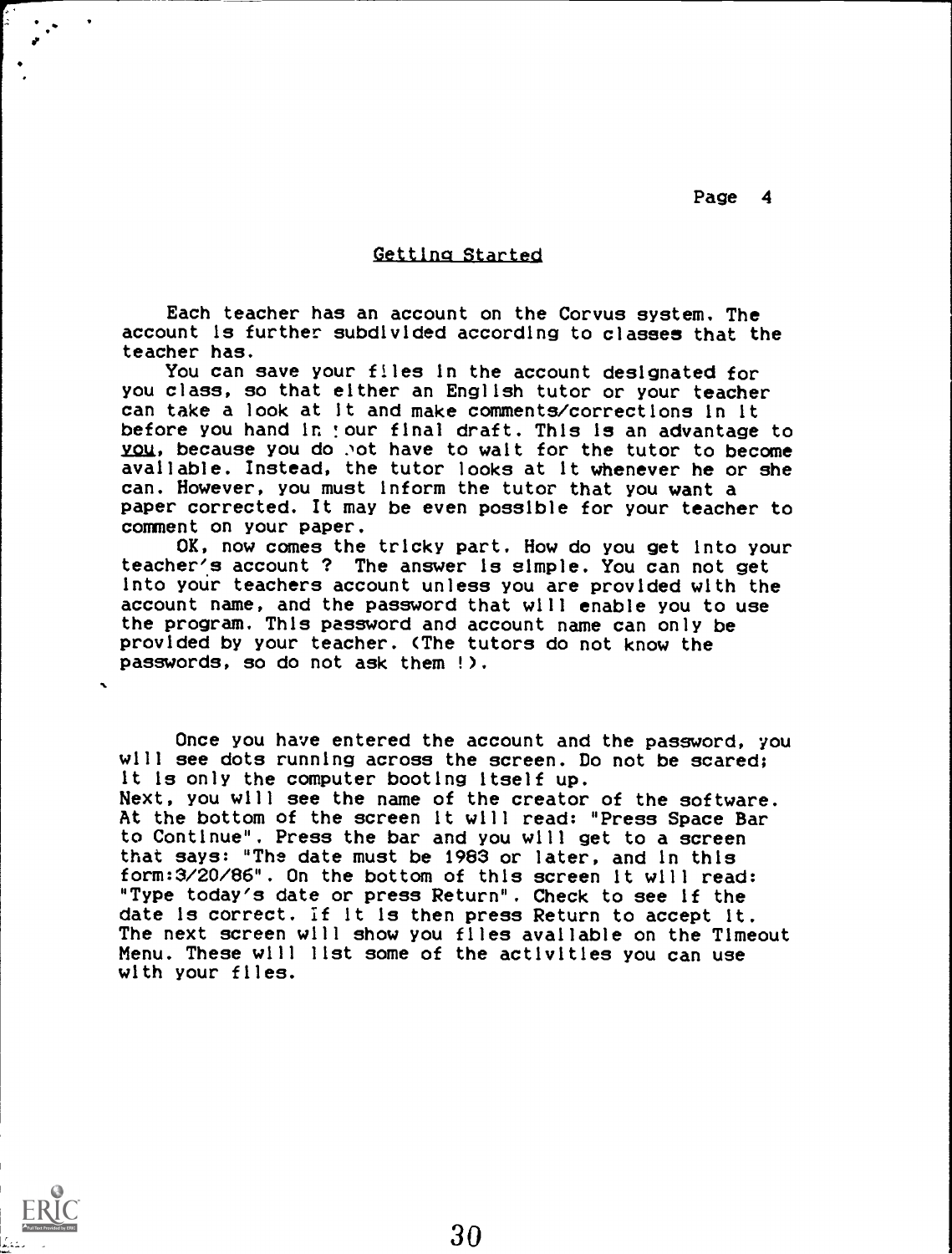#### Gettina Started

Each teacher has an account on the Corvus system. The account is further subdivided according to classes that the teacher has.

You can save your files in the account designated for you class, so that either an English tutor or your teacher can take a look at it and make comments/corrections In it before you hand in !our final draft. This is an advantage to you, because you do .not have to walt for the tutor to become available. Instead, the tutor looks at it whenever he or she can. However, you must inform the tutor that you want a paper corrected. It may be even possible for your teacher to comment on your paper.

OK, now comes the tricky part. How do you get into your teacher's account ? The answer is simple. You can not get into your teachers account unless you are provided with the account name, and the password that will enable you to use the program. This password and account name can only be provided by your teacher. (The tutors do not know the passwords, so do not ask them !).

Once you have entered the account and the password, you will see dots running across the screen. Do not be scared; it is only the computer booting itself up. Next, you will see the name of the creator of the software. At the bottom of the screen it will read: "Press Space Bar to Continue". Press the bar and you will get to a screen that says: "The date must be 1983 or later, and in this form:3/20/86". On the bottom of this screen it will read: "Type today's date or press Return". Check to see if the date is correct. If it is then press Return to accept It. The next screen will show you files available on the Timeout Menu. These will list some of the activities you can use with your files.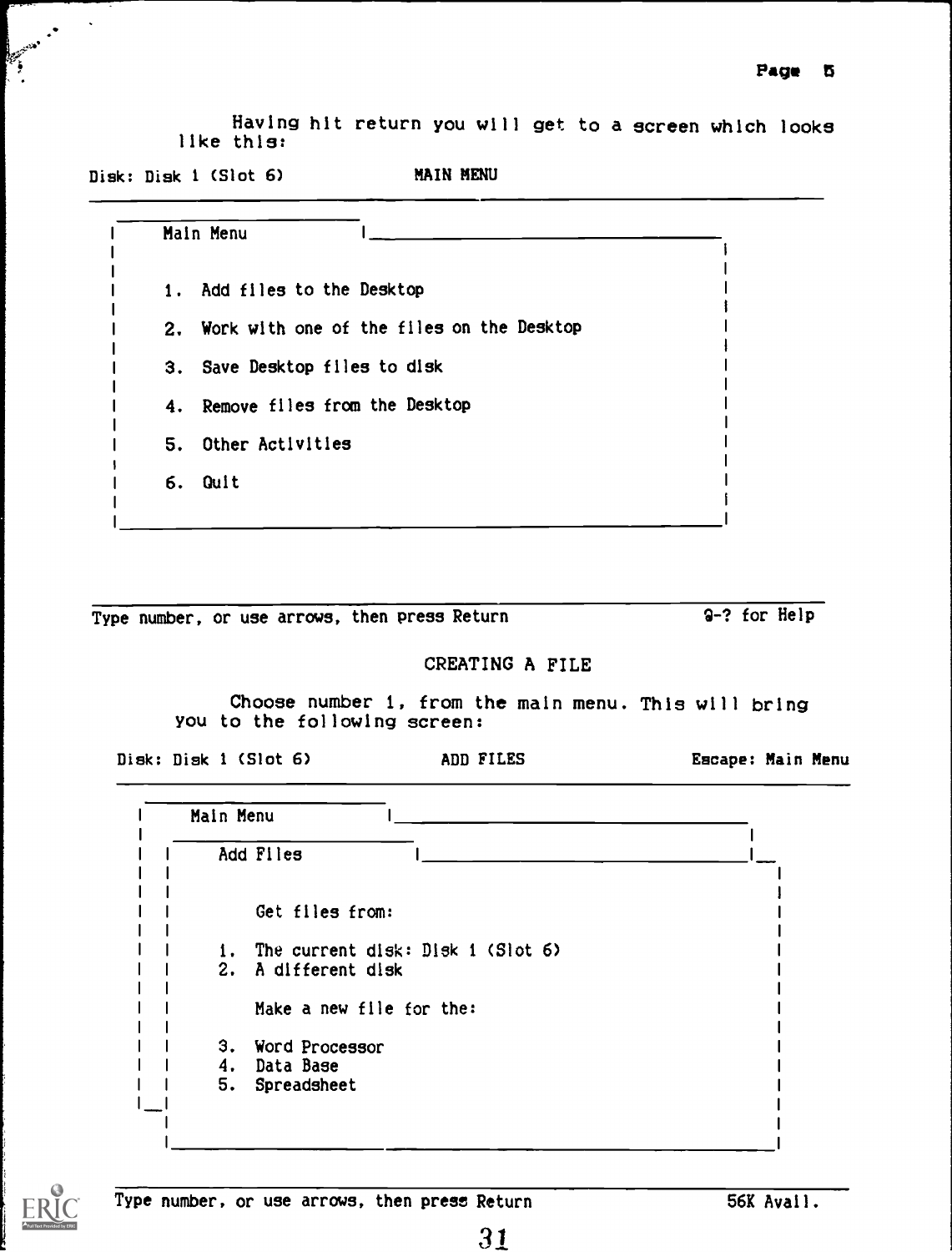Having hit return you will get to a screen which looks like this:

Disk: Disk 1 (Slot 6) MAIN MENU

|    | Main Menu                                    |  |
|----|----------------------------------------------|--|
|    | 1. Add files to the Desktop                  |  |
|    | 2. Work with one of the files on the Desktop |  |
|    | 3. Save Desktop files to disk                |  |
|    | 4. Remove files from the Desktop             |  |
| 5. | Other Activities                             |  |
|    | 6. Quit                                      |  |

Type number, or use arrows, then press Return 9-? for Help

# CREATING A FILE

Choose number 1, from the main menu. This will bring you to the following screen:

Disk: Disk 1 (Slot 6) ADD FILES Escape: Main Menu

|    | Add Files                         |  |
|----|-----------------------------------|--|
|    |                                   |  |
|    | Get files from:                   |  |
|    |                                   |  |
| 1. | The current disk: Disk 1 (Slot 6) |  |
|    | 2. A different disk               |  |
|    |                                   |  |
|    | Make a new file for the:          |  |
|    | 3. Word Processor                 |  |
|    | 4. Data Base                      |  |
| 5. | Spreadsheet                       |  |
|    |                                   |  |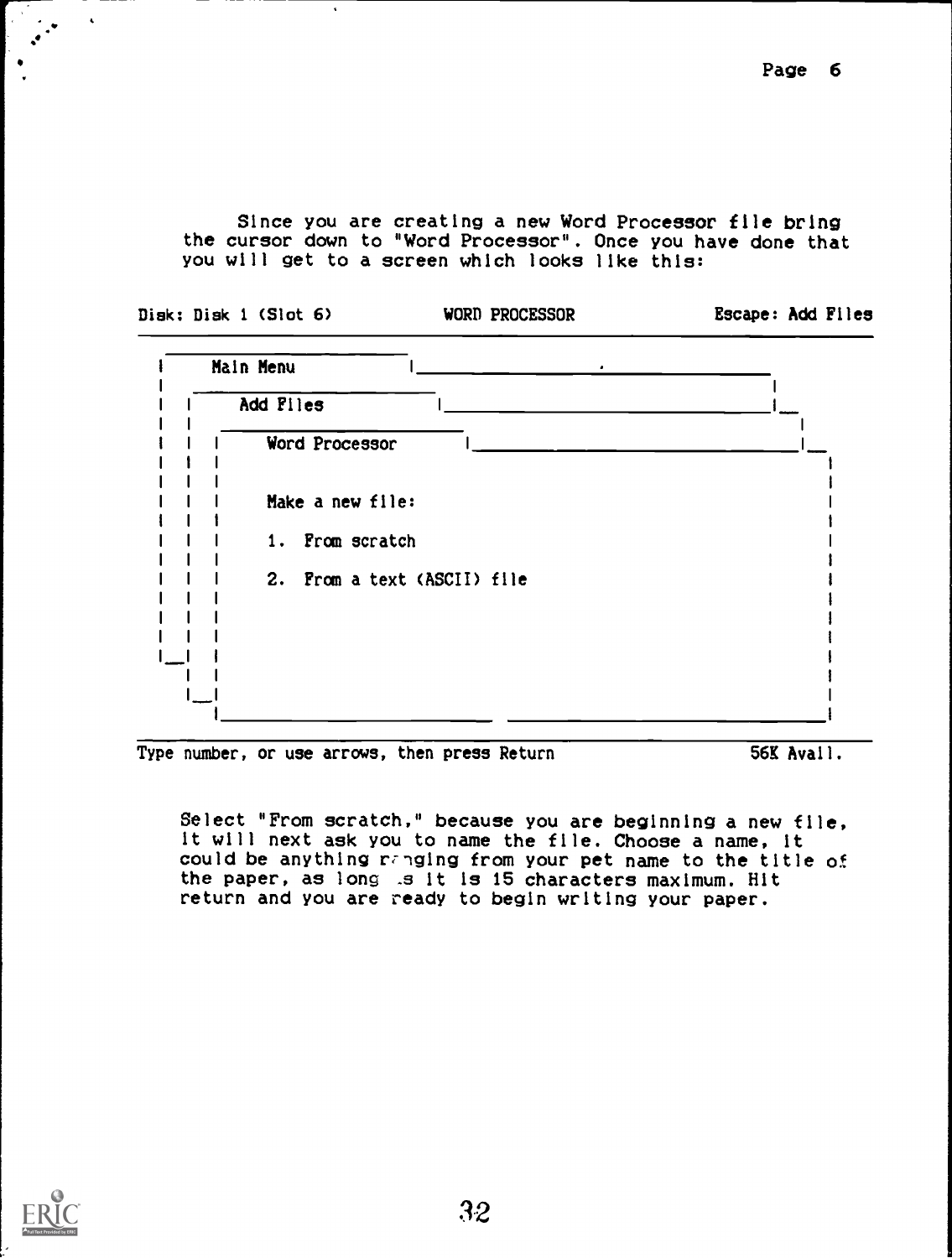Since you are creating a new Word Processor file bring the cursor down to "Word Processor". Once you have done that you will get to a screen which looks like this:

| Disk: Disk 1 (Slot 6) | WORD PROCESSOR              | Escape: Add Files |
|-----------------------|-----------------------------|-------------------|
| Main Menu             | $\bullet$                   |                   |
| Add Files             |                             |                   |
| Word Processor        |                             |                   |
| Make a new file:      |                             |                   |
| 1. From scratch       |                             |                   |
|                       | 2. From a text (ASCII) file |                   |

Type number, or use arrows, then press Return 56K Avail.

Select "From scratch." because you are beginning a new file, it will next ask you to name the file. Choose a name, it could be anything ranging from your pet name to the title of the paper, as long .s it is 15 characters maximum. Hit return and you are ready to begin writing your paper.



 $\hat{\mathbf{v}}$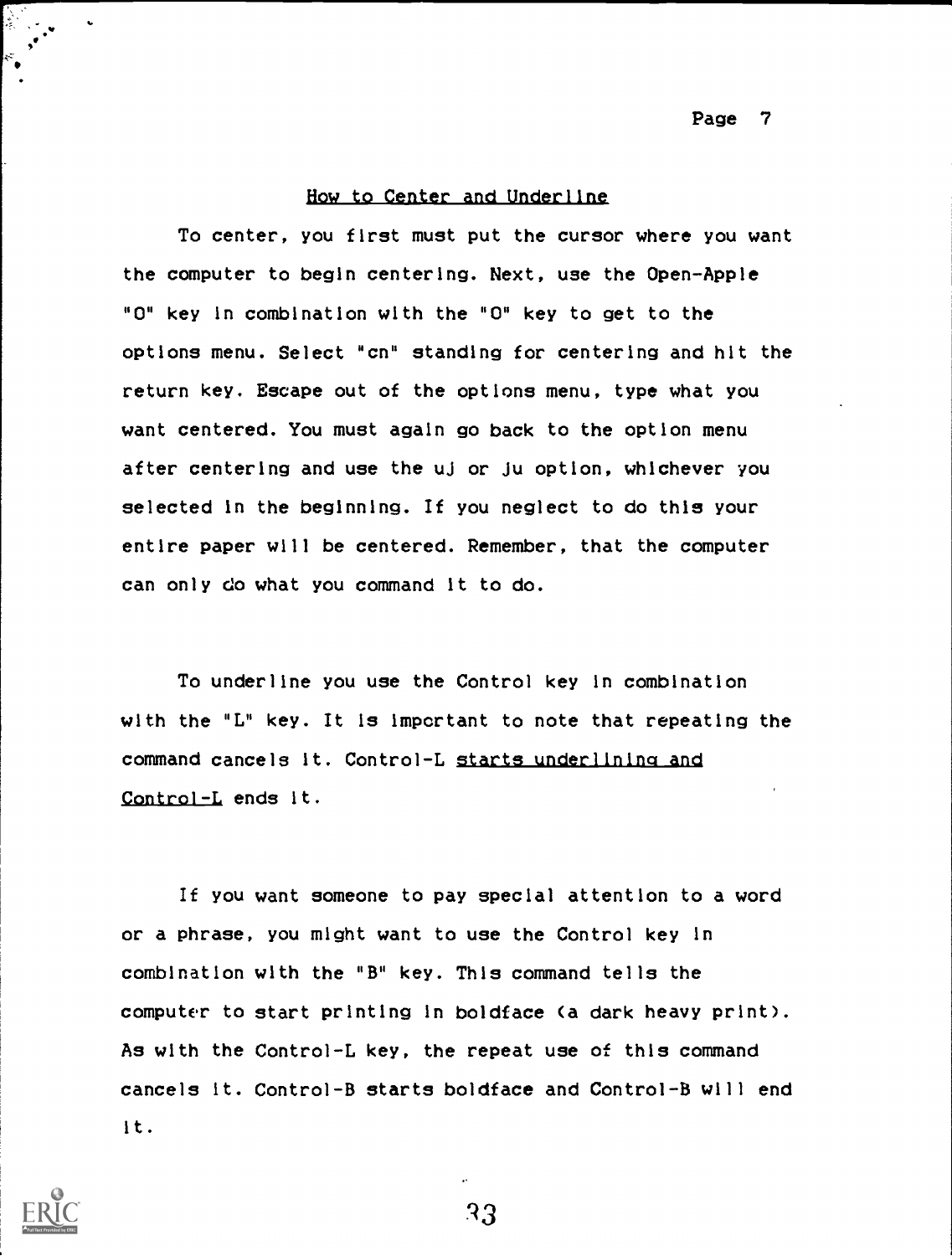# How to Center and Underline

To center, you first must put the cursor where you want the computer to begin centering. Next, use the Open-Apple "0" key in combination with the "0" key to get to the options menu. Select "cn" standing for centering and hit the return key. Escape out of the options menu, type what you want centered. You must again go back to the option menu after centering and use the uJ or Ju option, whichever you selected in the beginning. If you neglect to do this your entire paper will be centered. Remember, that the computer can only do what you command it to do.

To underline you use the Control key in combination with the "L" key. It is important to note that repeating the command cancels it. Control-L starts underlining and Control-L ends it.

If you want someone to pay special attention to a word or a phrase, you might want to use the Control key in combination with the "B" key. This command tells the computer to start printing in boldface (a dark heavy print). As with the Control-L key, the repeat use of this command cancels it. Control-B starts boldface and Control-B will end it.



R3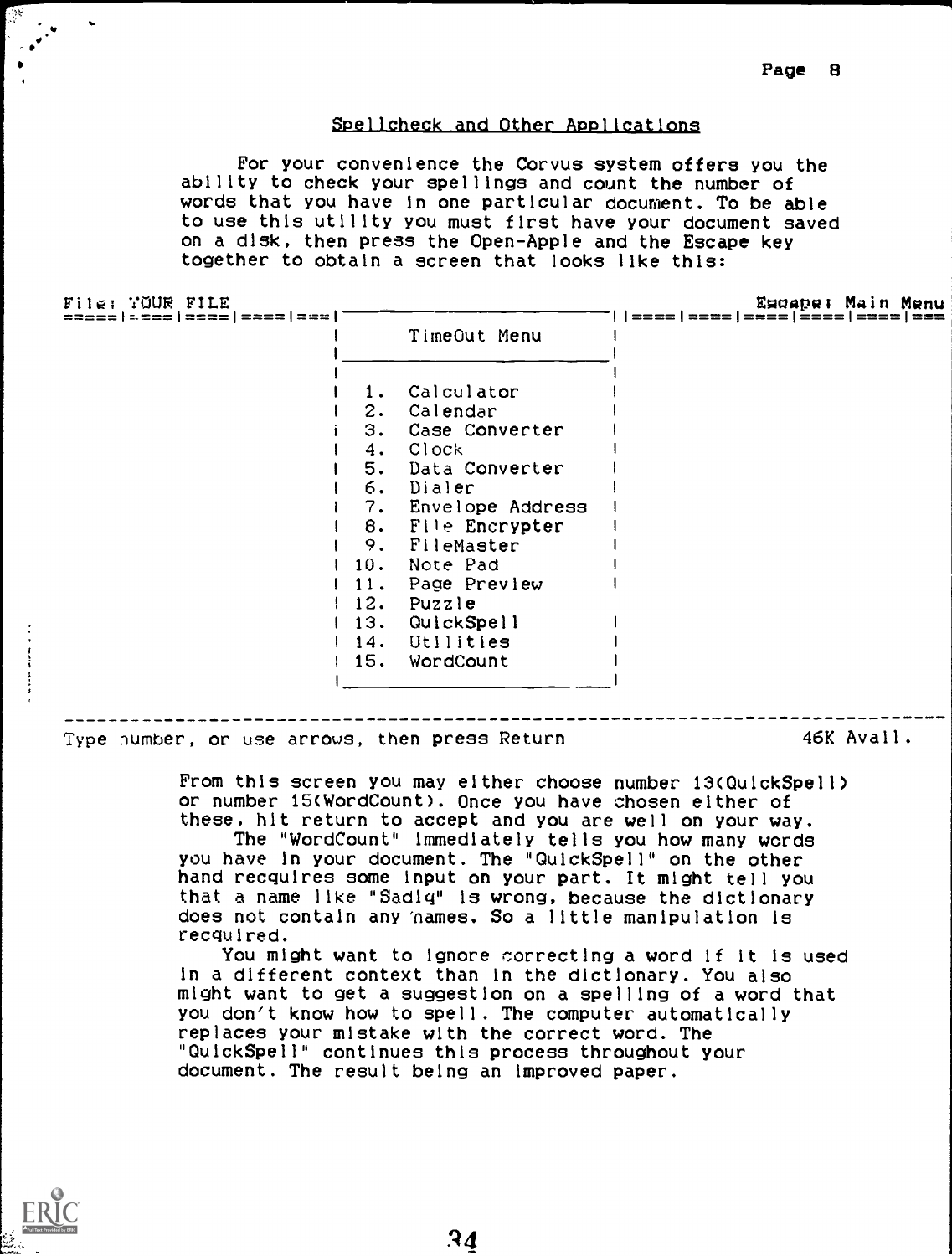# Spellcheck and Other Applications

For your convenience the Corvus system offers you the ability to check your spellings and count the number of words that you have in one particular document. To be able to use this utility you must first have your document saved on a disk, then press the Open-Apple and the Escape key together to obtain a screen that looks like this:

File: YOUR FILE

Escape: Main Menu<br>1===1===1===1===1===1===

|     | TimeOut Menu        |  |
|-----|---------------------|--|
| 1.  | Calculator          |  |
| 2.  | Calendar            |  |
|     | 3. Case Converter   |  |
|     | 4. Clock            |  |
|     | 5. Data Converter   |  |
|     | 6. Dialer           |  |
|     | 7. Envelope Address |  |
| 8.  | File Encrypter      |  |
| 9.  | FileMaster          |  |
| 10. | Note Pad            |  |
| 11. | Page Preview        |  |
|     | 12. Puzzle          |  |
| 13. | QuickSpell          |  |
| 14. | Utilities           |  |
|     | 15. WordCount       |  |
|     |                     |  |

Type number, or use arrows, then press Return 46K Avail.

From this screen you may either choose number 13(QuickSpell) or number 15(WordCount). Once you have chosen either of these, hit return to accept and you are well on your way.

The "WordCount" immediately tells you how many words you have in your document. The "QuickSpell" on the other hand recquires some input on your part. It might tell you that a name like "Sadly" is wrong, because the dictionary does not contain any 'names. So a little manipulation is recyuired.

You might want to ignore correcting a word if it is used in a different context than In the dictionary. You also might want to get a suggestion on a spelling of a word that you don't know how to spell. The computer automatically replaces your mistake with the correct word. The "QuickSpell" continues this process throughout your document. The result being an improved paper.